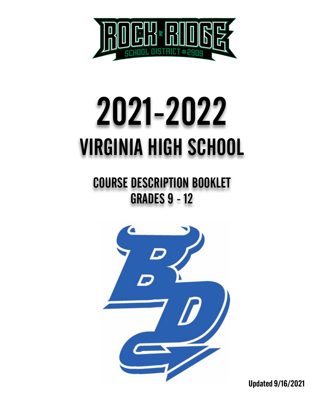

# 2021-2022 VIRGINIA HIGH SCHOOL

COURSE DESCRIPTION BOOKLET **GRADES 9 - 12** 



Updated 9/16/2021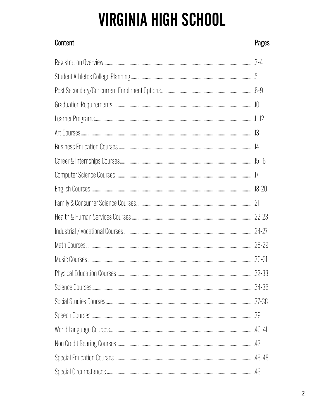# **VIRGINIA HIGH SCHOOL**

| Content | Pages |
|---------|-------|
|         |       |
|         |       |
|         |       |
|         |       |
|         |       |
|         |       |
|         |       |
|         |       |
|         |       |
|         |       |
|         |       |
|         |       |
|         |       |
|         |       |
|         |       |
|         |       |
|         |       |
|         |       |
|         |       |
|         |       |
|         |       |
|         |       |
|         |       |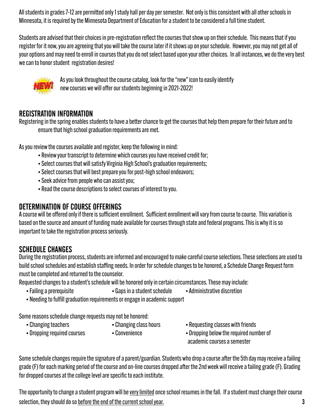All students in grades 7-12 are permitted only1 study hall per day per semester. Not only is this consistent with all other schools in Minnesota, it is required by the Minnesota Department of Education for a student to be considered a full time student.

Students are advised that their choices in pre-registration reflect the courses that show up on their schedule. This means that if you register for it now, you are agreeing that you will take the course later if it shows up on your schedule. However, you may not get all of your options and may need to enroll in courses that you do not select based upon your other choices. In all instances, we do the very best we can to honor student registration desires!



 As you look throughout the course catalog, look for the "new" icon to easily identify new courses we will offer our students beginning in 2021-2022!

### REGISTRATION INFORMATION

Registering in the spring enables students to have a better chance to get the courses that help them prepare for their future and to ensure that high school graduation requirements are met.

As you review the courses available and register, keep the following in mind:

- Review your transcript to determine which courses you have received credit for;
- Select courses that will satisfy Virginia High School's graduation requirements;
- Select courses that will best prepare you for post-high school endeavors;
- Seek advice from people who can assist you;
- Read the course descriptions to select courses of interest to you.

### DETERMINATION OF COURSE OFFERINGS

A course will be offered only if there is sufficient enrollment. Sufficient enrollment will vary from course to course. This variation is based on the source and amount of funding made available for courses through state and federal programs. This is why it is so important to take the registration process seriously.

### SCHEDULE CHANGES

During the registration process, students are informed and encouraged to make careful course selections. These selections are used to build school schedules and establish staffing needs. In order for schedule changes to be honored, a Schedule Change Request form must be completed and returned to the counselor.

Requested changes to a student's schedule will be honored only in certain circumstances. These may include:

- Failing a prerequisite Gaps in a student schedule Administrative discretion
	-
- Needing to fulfill graduation requirements or engage in academic support

Some reasons schedule change requests may not be honored:

- 
- 
- 
- 
- Changing teachers Changing class hours Requesting classes with friends
- Dropping required courses Convenience Convenience Dropping below the required number of academic courses a semester

Some schedule changes require the signature of a parent/guardian. Students who drop a course after the 5th day may receive a failing grade (F) for each marking period of the course and on-line courses dropped after the 2nd week will receive a failing grade (F). Grading for dropped courses at the college level are specific to each institute.

The opportunity to change a student program will be very limited once school resumes in the fall. If a student must change their course selection, they should do so before the end of the current school year.  $\sim$  3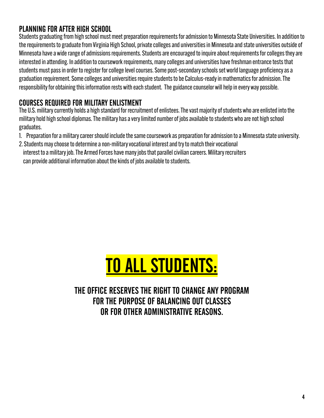### PLANNING FOR AFTER HIGH SCHOOL

Students graduating from high school must meet preparation requirements for admission to Minnesota State Universities. In addition to the requirements to graduate from Virginia High School, private colleges and universities in Minnesota and state universities outside of Minnesota have a wide range of admissions requirements. Students are encouraged to inquire about requirements for colleges they are interested in attending. In addition to coursework requirements, many colleges and universities have freshman entrance tests that students must pass in order to register for college level courses. Some post-secondary schools set world language proficiency as a graduation requirement. Some colleges and universities require students to be Calculus-ready in mathematics for admission. The responsibility for obtaining this information rests with each student. The guidance counselor will help in every way possible.

### COURSES REQUIRED FOR MILITARY ENLISTMENT

The U.S. military currently holds a high standard for recruitment of enlistees. The vast majority of students who are enlisted into the military hold high school diplomas. The military has a very limited number of jobs available to students who are not high school graduates.

- 1. Preparation for a military career should include the same coursework as preparation for admission to a Minnesota state university.
- 2. Students may choose to determine a non-military vocational interest and try to match their vocational interest to a military job. The Armed Forces have many jobs that parallel civilian careers. Military recruiters can provide additional information about the kinds of jobs available to students.



THE OFFICE RESERVES THE RIGHT TO CHANGE ANY PROGRAM FOR THE PURPOSE OF BALANCING OUT CLASSES OR FOR OTHER ADMINISTRATIVE REASONS.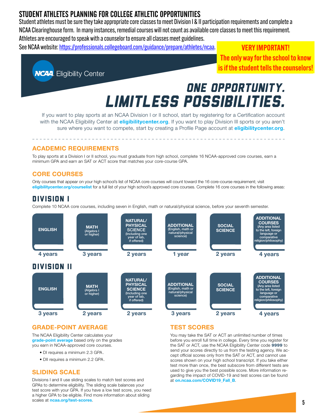### STUDENT ATHLETES PLANNING FOR COLLEGE ATHLETIC OPPORTUNITIES

Student athletes must be sure they take appropriate core classes to meet Division I & II participation requirements and complete a NCAA Clearinghouse form. In many instances, remedial courses will not count as available core classes to meet this requirement. Athletes are encouraged to speak with a counselor to ensure all classes meet guidelines.

See NCAA website: htt[ps://professionals.collegeboard.com/guidance/prepare/athletes/ncaa](https://professionals.collegeboard.com/guidance/prepare/athletes/ncaa).

VERY IMPORTANT! The only way for the school to know is if the student tells the counselors!



# one opportunity. limitless Possibilities.

If you want to play sports at an NCAA Division I or II school, start by registering for a Certification account with the NCAA Eligibility Center at *eligibilitycenter.org*. If you want to play Division III sports or you aren't sure where you want to compete, start by creating a Profile Page account at *eligibilitycenter.org*.

### ACADEMIC REQUIREMENTS

To play sports at a Division I or II school, you must graduate from high school, complete 16 NCAA-approved core courses, earn a minimum GPA and earn an SAT or ACT score that matches your core-course GPA.

### CORE COURSES

Only courses that appear on your high school's list of NCAA core courses will count toward the 16 core-course requirement; visit eligibilitycenter.org/courselist for a full list of your high school's approved core courses. Complete 16 core courses in the following areas:

### Division i

Complete 10 NCAA core courses, including seven in English, math or natural/physical science, before your seventh semester.



### GRADE-POINT AVERAGE

The NCAA Eligibility Center calculates your grade-point average based only on the grades you earn in NCAA-approved core courses.

- DI requires a minimum 2.3 GPA.
- DII requires a minimum 2.2 GPA.

### SLIDING SCALE

Divisions I and II use sliding scales to match test scores and GPAs to determine eligibility. The sliding scale balances your test score with your GPA. If you have a low test score, you need a higher GPA to be eligible. Find more information about sliding scales at **ncaa.org/test-scores**.

### TEST SCORES

You may take the SAT or ACT an unlimited number of times before you enroll full time in college. Every time you register for the SAT or ACT, use the NCAA Eligibility Center code 9999 to send your scores directly to us from the testing agency. We accept official scores only from the SAT or ACT, and cannot use scores shown on your high school transcript. If you take either test more than once, the best subscore from different tests are used to give you the best possible score. More information regarding the impact of COVID-19 and test scores can be found at on.ncaa.com/COVID19\_Fall\_B.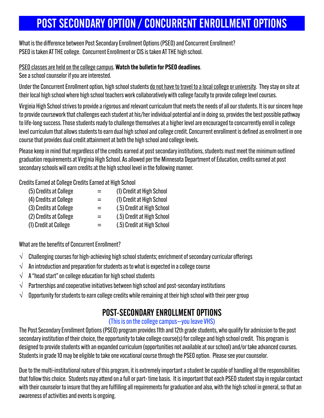# POST SECONDARY OPTION / CONCURRENT ENROLLMENT OPTIONS

What is the difference between Post Secondary Enrollment Options (PSEO) and Concurrent Enrollment? PSEO is taken AT THE college. Concurrent Enrollment or CIS is taken AT THE high school.

PSEO classes are held on the college campus. Watch the bulletin for PSEO deadlines.

See a school counselor if you are interested.

Under the Concurrent Enrollment option, high school students <u>do not have to travel to a local college or university</u>. They stay on site at their local high school where high school teachers work collaboratively with college faculty to provide college level courses.

Virginia High School strives to provide a rigorous and relevant curriculum that meets the needs of all our students. It is our sincere hope to provide coursework that challenges each student at his/her individual potential and in doing so, provides the best possible pathway to life-long success. Those students ready to challenge themselves at a higher level are encouraged to concurrently enroll in college level curriculum that allows students to earn dual high school and college credit. Concurrent enrollment is defined as enrollment in one course that provides dual credit attainment at both the high school and college levels.

Please keep in mind that regardless of the credits earned at post secondary institutions, students must meet the minimum outlined graduation requirements at Virginia High School. As allowed per the Minnesota Department of Education, credits earned at post secondary schools will earn credits at the high school level in the following manner.

Credits Earned at College Credits Earned at High School

| (5) Credits at College | $=$ | (1) Credit at High School  |
|------------------------|-----|----------------------------|
| (4) Credits at College | $=$ | (1) Credit at High School  |
| (3) Credits at College | $=$ | (.5) Credit at High School |
| (2) Credits at College | $=$ | (.5) Credit at High School |
| (1) Credit at College  | $=$ | (.5) Credit at High School |
|                        |     |                            |

What are the benefits of Concurrent Enrollment?

- **√** Challenging courses for high-achieving high school students; enrichment of secondary curricular offerings
- **√** An introduction and preparation for students as to what is expected in a college course
- **√** A "head start" on college education for high school students
- **√** Partnerships and cooperative initiatives between high school and post-secondary institutions
- **√** Opportunity for students to earn college credits while remaining at their high school with their peer group

### POST-SECONDARY ENROLLMENT OPTIONS

### (This is on the college campus—you leave VHS)

The Post Secondary Enrollment Options (PSEO) program provides 11th and 12th grade students, who qualify for admission to the post secondary institution of their choice, the opportunity to take college course(s) for college and high school credit. This program is designed to provide students with an expanded curriculum (opportunities not available at our school) and/or take advanced courses. Students in grade 10 may be eligible to take one vocational course through the PSEO option. Please see your counselor.

Due to the multi-institutional nature of this program, it is extremely important a student be capable of handling all the responsibilities that follow this choice. Students may attend on a full or part- time basis. It is important that each PSEO student stay in regular contact with their counselor to insure that they are fulfilling all requirements for graduation and also, with the high school in general, so that an awareness of activities and events is ongoing.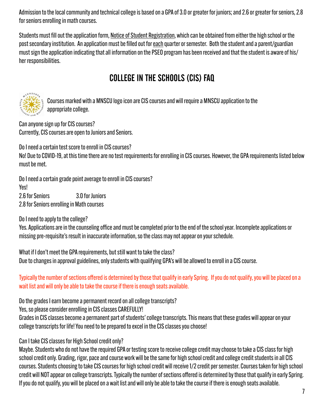Admission to the local community and technical college is based on a GPA of 3.0 or greater for juniors; and 2.6 or greater for seniors, 2.8 for seniors enrolling in math courses.

Students must fill out the application form, Notice of Student Registration, which can be obtained from either the high school or the post secondary institution. An application must be filled out for each quarter or semester. Both the student and a parent/guardian must sign the application indicating that all information on the PSEO program has been received and that the student is aware of his/ her responsibilities.

### COLLEGE IN THE SCHOOLS (CIS) FAQ



 Courses marked with a MNSCU logo icon are CIS courses and will require a MNSCU application to the appropriate college.

Can anyone sign up for CIS courses? Currently, CIS courses are open to Juniors and Seniors.

Do I need a certain test score to enroll in CIS courses?

No! Due to COVID-19, at this time there are no test requirements for enrolling in CIS courses. However, the GPA requirements listed below must be met.

Do I need a certain grade point average to enroll in CIS courses? Yes! 2.6 for Seniors 3.0 for Juniors 2.8 for Seniors enrolling in Math courses

Do I need to apply to the college?

Yes. Applications are in the counseling office and must be completed prior to the end of the school year. Incomplete applications or missing pre-requisite's result in inaccurate information, so the class may not appear on your schedule.

What if I don't meet the GPA requirements, but still want to take the class? Due to changes in approval guidelines, only students with qualifying GPA's will be allowed to enroll in a CIS course.

Typically the number of sections offered is determined by those that qualify in early Spring. If you do not qualify, you will be placed on a wait list and will only be able to take the course if there is enough seats available.

Do the grades I earn become a permanent record on all college transcripts?

Yes, so please consider enrolling in CIS classes CAREFULLY!

Grades in CIS classes become a permanent part of students' college transcripts. This means that these grades will appear on your college transcripts for life! You need to be prepared to excel in the CIS classes you choose!

### Can I take CIS classes for High School credit only?

Maybe. Students who do not have the required GPA or testing score to receive college credit may choose to take a CIS class for high school credit only. Grading, rigor, pace and course work will be the same for high school credit and college credit students in all CIS courses. Students choosing to take CIS courses for high school credit will receive 1/2 credit per semester. Courses taken for high school credit will NOT appear on college transcripts. Typically the number of sections offered is determined by those that qualify in early Spring. If you do not qualify, you will be placed on a wait list and will only be able to take the course if there is enough seats available.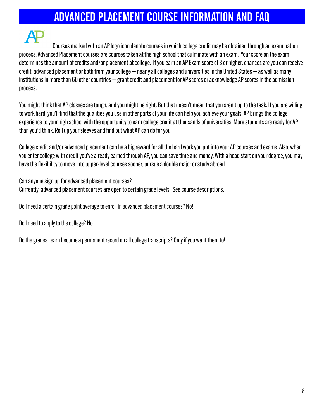# ADVANCED PLACEMENT COURSE INFORMATION AND FAQ

 Courses marked with an AP logo icon denote courses in which college credit may be obtained through an examination process. Advanced Placement courses are courses taken at the high school that culminate with an exam. Your score on the exam determines the amount of credits and/or placement at college. If you earn an AP Exam score of 3 or higher, chances are you can receive credit, advanced placement or both from your college — nearly all colleges and universities in the United States — as well as many institutions in more than 60 other countries — grant credit and placement for AP scores or acknowledge AP scores in the admission process.

You might think that AP classes are tough, and you might be right. But that doesn't mean that you aren't up to the task. If you are willing to work hard, you'll find that the qualities you use in other parts of your life can help you achieve your goals. AP brings the college experience to your high school with the opportunity to earn college credit at thousands of universities. More students are ready for AP than you'd think. Roll up your sleeves and find out what AP can do for you.

College credit and/or advanced placement can be a big reward for all the hard work you put into your AP courses and exams. Also, when you enter college with credit you've already earned through AP, you can save time and money. With a head start on your degree, you may have the flexibility to move into upper-level courses sooner, pursue a double major or study abroad.

Can anyone sign up for advanced placement courses? Currently, advanced placement courses are open to certain grade levels. See course descriptions.

Do I need a certain grade point average to enroll in advanced placement courses? No!

Do I need to apply to the college? No.

Do the grades I earn become a permanent record on all college transcripts? Only if you want them to!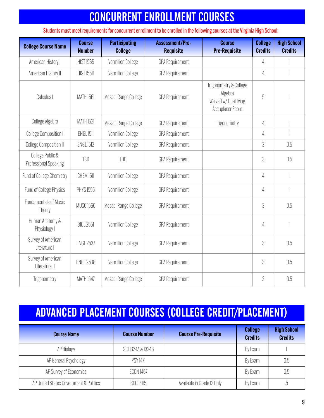# CONCURRENT ENROLLMENT COURSES

Students must meet requirements for concurrent enrollment to be enrolled in the following courses at the Virginia High School:

| <b>College Course Name</b>                       | <b>Course</b><br><b>Number</b> | <b>Participating</b><br><b>College</b> | <b>Assessment/Pre-</b><br><b>Requisite</b> | <b>Course</b><br><b>Pre-Requisite</b>                                                | <b>College</b><br><b>Credits</b> | <b>High School</b><br><b>Credits</b> |
|--------------------------------------------------|--------------------------------|----------------------------------------|--------------------------------------------|--------------------------------------------------------------------------------------|----------------------------------|--------------------------------------|
| American History I                               | <b>HIST 1565</b>               | <b>Vermilion College</b>               | <b>GPA Requirement</b>                     |                                                                                      | $\overline{4}$                   |                                      |
| American History II                              | <b>HIST 1566</b>               | <b>Vermilion College</b>               | <b>GPA Requirement</b>                     |                                                                                      | $\overline{4}$                   |                                      |
| Calculus I                                       | <b>MATH 1561</b>               | Mesabi Range College                   | <b>GPA Requirement</b>                     | Trigonometry & College<br>Algebra<br>Waived w/ Qualifying<br><b>Accuplacer Score</b> | $\sqrt{5}$                       |                                      |
| College Algebra                                  | <b>MATH 1521</b>               | Mesabi Range College                   | <b>GPA Requirement</b>                     | Trigonometry                                                                         | $\overline{4}$                   |                                      |
| <b>College Composition I</b>                     | ENGL <sub>1511</sub>           | <b>Vermilion College</b>               | <b>GPA Requirement</b>                     |                                                                                      | 4                                |                                      |
| <b>College Composition II</b>                    | <b>ENGL 1512</b>               | <b>Vermilion College</b>               | <b>GPA Requirement</b>                     |                                                                                      | $\mathfrak{Z}$                   | 0.5                                  |
| College Public &<br><b>Professional Speaking</b> | TBD                            | <b>TBD</b>                             | <b>GPA Requirement</b>                     |                                                                                      | 3                                | 0.5                                  |
| Fund of College Chemistry                        | <b>CHEM 1511</b>               | <b>Vermilion College</b>               | <b>GPA Requirement</b>                     |                                                                                      | $\overline{4}$                   |                                      |
| <b>Fund of College Physics</b>                   | <b>PHYS 1555</b>               | <b>Vermilion College</b>               | <b>GPA Requirement</b>                     |                                                                                      | $\overline{4}$                   |                                      |
| <b>Fundamentals of Music</b><br>Theory           | <b>MUSC 1566</b>               | Mesabi Range College                   | <b>GPA Requirement</b>                     |                                                                                      | 3                                | 0.5                                  |
| Human Anatomy &<br>Physiology I                  | <b>BIOL 2551</b>               | <b>Vermilion College</b>               | <b>GPA Requirement</b>                     |                                                                                      | $\overline{4}$                   |                                      |
| Survey of American<br>Literature I               | <b>ENGL 2537</b>               | <b>Vermilion College</b>               | <b>GPA Requirement</b>                     |                                                                                      | 3                                | 0.5                                  |
| Survey of American<br>Literature II              | <b>ENGL 2538</b>               | <b>Vermilion College</b>               | <b>GPA Requirement</b>                     |                                                                                      | $\overline{3}$                   | 0.5                                  |
| Trigonometry                                     | <b>MATH 1547</b>               | Mesabi Range College                   | <b>GPA Requirement</b>                     |                                                                                      | $\overline{2}$                   | 0.5                                  |

# ADVANCED PLACEMENT COURSES (COLLEGE CREDIT/PLACEMENT)

| <b>Course Name</b>                     | <b>Course Number</b> | <b>Course Pre-Requisite</b> | <b>College</b><br><b>Credits</b> | <b>High School</b><br><b>Credits</b> |
|----------------------------------------|----------------------|-----------------------------|----------------------------------|--------------------------------------|
| AP Biology                             | SCI 1324A & 1324B    |                             | By Exam                          |                                      |
| AP General Psychology                  | <b>PSY 1471</b>      |                             | By Exam                          | 0.5                                  |
| AP Survey of Economics                 | ECON 1467            |                             | By Exam                          | 0.5                                  |
| AP United States Government & Politics | SOC 1465             | Available in Grade 12 Only  | By Exam                          | .b                                   |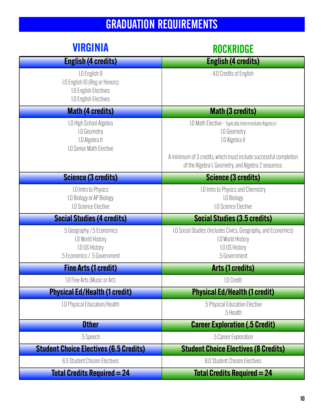# GRADUATION REQUIREMENTS

| <b>VIRGINIA</b>                                                                                   | <b>ROCKRIDGE</b>                                                                                                                                                                                                  |
|---------------------------------------------------------------------------------------------------|-------------------------------------------------------------------------------------------------------------------------------------------------------------------------------------------------------------------|
| <b>English (4 credits)</b>                                                                        | <b>English (4 credits)</b>                                                                                                                                                                                        |
| 1.0 English 9<br>1.0 English 10 (Reg or Honors)<br>1.0 English Electives<br>1.0 English Electives | 4.0 Credits of English                                                                                                                                                                                            |
| <b>Math (4 credits)</b>                                                                           | <b>Math (3 credits)</b>                                                                                                                                                                                           |
| 1.0 High School Algebra<br>1.0 Geometry<br>1.0 Algebra II<br>1.0 Senior Math Elective             | 1.0 Math Elective - Typically Intermediate Algebra I<br>1.0 Geometry<br>1.0 Algebra II<br>A minimum of 3 credits, which must include successful completion<br>of the Algebra I, Geometry, and Algebra 2 sequence. |
| <b>Science (3 credits)</b>                                                                        | <b>Science (3 credits)</b>                                                                                                                                                                                        |
| 1.0 Intro to Physics<br>1.0 Biology or AP Biology<br>1.0 Science Elective                         | 1.0 Intro to Physics and Chemistry<br>1.0 Biology<br>1.0 Science Elective                                                                                                                                         |
| <b>Social Studies (4 credits)</b>                                                                 | <b>Social Studies (3.5 credits)</b>                                                                                                                                                                               |
| .5 Geography /.5 Economics<br>1.0 World History<br>1.0 US History<br>.5 Economics / .5 Government | 1.0 Social Studies (Includes Civics, Geography, and Economics)<br>1.0 World History<br>1.0 US History<br>.5 Government                                                                                            |
| <b>Fine Arts (1 credit)</b>                                                                       | <b>Arts (1 credits)</b>                                                                                                                                                                                           |
| 1.0 Fine Arts (Music or Art)                                                                      | 1.0 Credit                                                                                                                                                                                                        |
| <b>Physical Ed/Health (1 credit)</b>                                                              | <b>Physical Ed/Health (1 credit)</b>                                                                                                                                                                              |
| 1.0 Physical Education/Health                                                                     | .5 Physical Education Elective<br>.5 Health                                                                                                                                                                       |
| <b>Other</b>                                                                                      | <b>Career Exploration (.5 Credit)</b>                                                                                                                                                                             |
| .5 Speech                                                                                         | .5 Career Exploration                                                                                                                                                                                             |
| <b>Student Choice Electives (6.5 Credits)</b>                                                     | <b>Student Choice Electives (8 Credits)</b>                                                                                                                                                                       |
| 6.5 Student Chosen Electives                                                                      | 8.0 Student Chosen Electives                                                                                                                                                                                      |
| <b>Total Credits Required = 24</b>                                                                | <b>Total Credits Required = 24</b>                                                                                                                                                                                |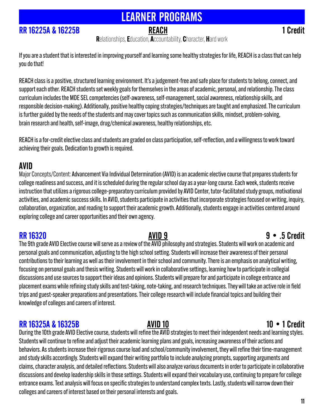# LEARNER PROGRAMS

### **RR 16225A & 16225B** REACH REACH 1 Credit

Relationships, Education, Accountability, Character, Hard work

If you are a student that is interested in improving yourself and learning some healthy strategies for life, REACH is a class that can help you do that!

REACH class is a positive, structured learning environment. It's a judgement-free and safe place for students to belong, connect, and support each other. REACH students set weekly goals for themselves in the areas of academic, personal, and relationship. The class curriculum includes the MDE SEL competencies (self-awareness, self-management, social awareness, relationship skills, and responsible decision-making). Additionally, positive healthy coping strategies/techniques are taught and emphasized. The curriculum is further guided by the needs of the students and may cover topics such as communication skills, mindset, problem-solving, brain research and health, self-image, drug/chemical awareness, healthy relationships, etc.

REACH is a for-credit elective class and students are graded on class participation, self-reflection, and a willingness to work toward achieving their goals. Dedication to growth is required.

### AVID

Major Concepts/Content: Advancement Via Individual Determination (AVID) is an academic elective course that prepares students for college readiness and success, and it is scheduled during the regular school day as a year-long course. Each week, students receive instruction that utilizes a rigorous college-preparatory curriculum provided by AVID Center, tutor-facilitated study groups, motivational activities, and academic success skills. In AVID, students participate in activities that incorporate strategies focused on writing, inquiry, collaboration, organization, and reading to support their academic growth. Additionally, students engage in activities centered around exploring college and career opportunities and their own agency.

RR 16320 AVID 9 9 • .5 Credit The 9th grade AVID Elective course will serve as a review of the AVID philosophy and strategies. Students will work on academic and personal goals and communication, adjusting to the high school setting. Students will increase their awareness of their personal contributions to their learning as well as their involvement in their school and community. There is an emphasis on analytical writing, focusing on personal goals and thesis writing. Students will work in collaborative settings, learning how to participate in collegial discussions and use sources to support their ideas and opinions. Students will prepare for and participate in college entrance and placement exams while refining study skills and test-taking, note-taking, and research techniques. They will take an active role in field trips and guest-speaker preparations and presentations. Their college research will include financial topics and building their knowledge of colleges and careers of interest.

### RR 16325A & 16325B **AVID 10 10 • 1 Credit**

During the 10th grade AVID Elective course, students will refine the AVID strategies to meet their independent needs and learning styles. Students will continue to refine and adjust their academic learning plans and goals, increasing awareness of their actions and behaviors. As students increase their rigorous course load and school/community involvement, they will refine their time-management and study skills accordingly. Students will expand their writing portfolio to include analyzing prompts, supporting arguments and claims, character analysis, and detailed reflections. Students will also analyze various documents in order to participate in collaborative discussions and develop leadership skills in those settings. Students will expand their vocabulary use, continuing to prepare for college entrance exams. Text analysis will focus on specific strategies to understand complex texts. Lastly, students will narrow down their colleges and careers of interest based on their personal interests and goals.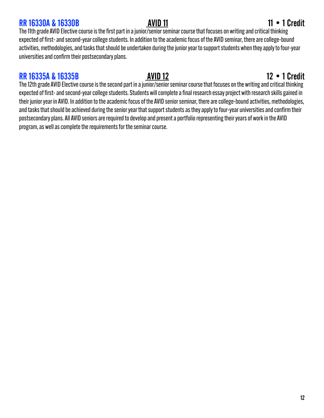### RR 16330A & 16330B **AVID 11 AVID 11 11 • 1 Credit**

The 11th grade AVID Elective course is the first part in a junior/senior seminar course that focuses on writing and critical thinking expected of first- and second-year college students. In addition to the academic focus of the AVID seminar, there are college-bound activities, methodologies, and tasks that should be undertaken during the junior year to support students when they apply to four-year universities and confirm their postsecondary plans.

### RR 16335A & 16335B **AVID 12 AVID 12** 12 • 1 Credit

The 12th grade AVID Elective course is the second part in a junior/senior seminar course that focuses on the writing and critical thinking expected of first- and second-year college students. Students will complete a final research essay project with research skills gained in their junior year in AVID. In addition to the academic focus of the AVID senior seminar, there are college-bound activities, methodologies, and tasks that should be achieved during the senior year that support students as they apply to four-year universities and confirm their postsecondary plans. All AVID seniors are required to develop and present a portfolio representing their years of work in the AVID program, as well as complete the requirements for the seminar course.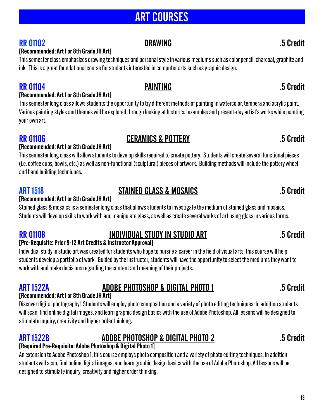# ART COURSES

### RR 01102 **DRAWING DRAWING** 5 Credit

### [Recommended: Art I or 8th Grade JH Art]

This semester class emphasizes drawing techniques and personal style in various mediums such as color pencil, charcoal, graphite and ink. This is a great foundational course for students interested in computer arts such as graphic design.

### RR 01104 **PAINTING PAINTING** 5 Credit

### [Recommended: Art I or 8th Grade JH Art]

This semester long class allows students the opportunity to try different methods of painting in watercolor, tempera and acrylic paint. Various painting styles and themes will be explored through looking at historical examples and present-day artist's works while painting your own art.

### RR 01106 CERAMICS & POTTERY **RR 01106** 5 Credit

### [Recommended: Art I or 8th Grade JH Art]

This semester long class will allow students to develop skills required to create pottery. Students will create several functional pieces (i.e. coffee cups, bowls, etc.) as well as non-functional (sculptural) pieces of artwork. Building methods will include the pottery wheel and hand building techniques.

### ART 1518 STAINED GLASS & MOSAICS .5 Credit

### [Recommended: Art I or 8th Grade JH Art]

Stained glass & mosaics is a semester long class that allows students to investigate the medium of stained glass and mosaics. Students will develop skills to work with and manipulate glass, as well as create several works of art using glass in various forms.

### RR 01108 INDIVIDUAL STUDY IN STUDIO ART 5 Credit

### [Pre-Requisite: Prior 9-12 Art Credits & Instructor Approval]

Individual study in studio art was created for students who hope to pursue a career in the field of visual arts, this course will help students develop a portfolio of work. Guided by the instructor, students will have the opportunity to select the mediums they want to work with and make decisions regarding the content and meaning of their projects.

# ART 1522A ADOBE PHOTOSHOP & DIGITAL PHOTO 1 .5 Credit

### [Recommended: Art I or 8th Grade JH Art]

Discover digital photography! Students will employ photo composition and a variety of photo editing techniques. In addition students will scan, find online digital images, and learn graphic design basics with the use of Adobe Photoshop. All lessons will be designed to stimulate inquiry, creativity and higher order thinking.

### ART 1522B ADOBE PHOTOSHOP & DIGITAL PHOTO 2 .5 Credit

### [Required Pre-Requisite: Adobe Photoshop & Digital Photo 1]

An extension to Adobe Photoshop 1, this course employs photo composition and a variety of photo editing techniques. In addition students will scan, find online digital images, and learn graphic design basics with the use of Adobe Photoshop. All lessons will be designed to stimulate inquiry, creativity and higher order thinking.

### 13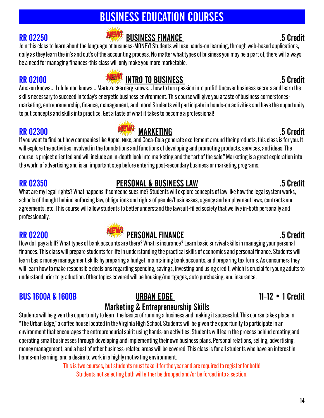14

# BUSINESS EDUCATION COURSES

# RR 02250 BUSINESS FINANCE .5 Credit

Join this class to learn about the language of business-MONEY! Students will use hands-on learning, through web-based applications, daily as they learn the in's and out's of the accounting process. No matter what types of business you may be a part of, there will always be a need for managing finances-this class will only make you more marketable.

# RR 02100 **INEWE** INTRO TO BUSINESS **RR** 02100 5 Credit

Amazon knows... Lululemon knows... Mark Zuckerberg knows... how to turn passion into profit! Uncover business secrets and learn the skills necessary to succeed in today's energetic business environment. This course will give you a taste of business cornerstonesmarketing, entrepreneurship, finance, management, and more! Students will participate in hands-on activities and have the opportunity to put concepts and skills into practice. Get a taste of what it takes to become a professional!

course is project oriented and will include an in-depth look into marketing and the "art of the sale." Marketing is a great exploration into

What are my legal rights? What happens if someone sues me? Students will explore concepts of law like how the legal system works, schools of thought behind enforcing law, obligations and rights of people/businesses, agency and employment laws, contracts and agreements, etc. This course will allow students to better understand the lawsuit-filled society that we live in-both personally and professionally.

### RR 02200 **PERSONAL FINANCE RR** 02200 **PERSONAL FINANCE**

How do I pay a bill? What types of bank accounts are there? What is insurance? Learn basic survival skills in managing your personal finances. This class will prepare students for life in understanding the practical skills of economics and personal finance. Students will learn basic money management skills by preparing a budget, maintaining bank accounts, and preparing tax forms. As consumers they will learn how to make responsible decisions regarding spending, savings, investing and using credit, which is crucial for young adults to understand prior to graduation. Other topics covered will be housing/mortgages, auto purchasing, and insurance.

### BUS 1600A & 1600B URBAN EDGE 11-12 • 1 Credit

# Marketing & Entrepreneurship Skills

Students will be given the opportunity to learn the basics of running a business and making it successful. This course takes place in "The Urban Edge," a coffee house located in the Virginia High School. Students will be given the opportunity to participate in an environment that encourages the entrepreneurial spirit using hands-on activities. Students will learn the process behind creating and operating small businesses through developing and implementing their own business plans. Personal relations, selling, advertising, money management, and a host of other business-related areas will be covered. This class is for all students who have an interest in hands-on learning, and a desire to work in a highly motivating environment.

This is two courses, but students must take it for the year and are required to register for both! Students not selecting both will either be dropped and/or be forced into a section.

RR 02350 PERSONAL & BUSINESS LAW .5 Credit

### will explore the activities involved in the foundations and functions of developing and promoting products, services, and ideas. The

# RR 02300 **MARKETING MARKETING** 35 Credit



the world of advertising and is an important step before entering post-secondary business or marketing programs.

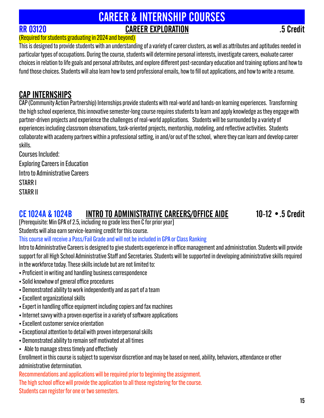# CAREER & INTERNSHIP COURSES RR 03120 CAREER EXPLORATION .5 Credit

### (Required for students graduating in 2024 and beyond)

This is designed to provide students with an understanding of a variety of career clusters, as well as attributes and aptitudes needed in particular types of occupations. During the course, students will determine personal interests, investigate careers, evaluate career choices in relation to life goals and personal attributes, and explore different post-secondary education and training options and how to fund those choices. Students will also learn how to send professional emails, how to fill out applications, and how to write a resume.

### CAP INTERNSHIPS

CAP (Community Action Partnership) Internships provide students with real-world and hands-on learning experiences. Transforming the high school experience, this innovative semester-long course requires students to learn and apply knowledge as they engage with partner-driven projects and experience the challenges of real-world applications. Students will be surrounded by a variety of experiences including classroom observations, task-oriented projects, mentorship, modeling, and reflective activities. Students collaborate with academy partners within a professional setting, in and/or out of the school, where they can learn and develop career skills.

Courses Included: Exploring Careers in Education Intro to Administrative Careers STARR I STARR II

### CE 1024A & 1024B INTRO TO ADMINISTRATIVE CAREERS/OFFICE AIDE 10-12 •.5 Credit

[Prerequisite: Min GPA of 2.5, including no grade less then C for prior year]

Students will also earn service-learning credit for this course.

This course will receive a Pass/Fail Grade and will not be included in GPA or Class Ranking

Intro to Administrative Careers is designed to give students experience in office management and administration. Students will provide support for all High School Administrative Staff and Secretaries. Students will be supported in developing administrative skills required in the workforce today. These skills include but are not limited to:

- Proficient in writing and handling business correspondence
- Solid knowhow of general office procedures
- Demonstrated ability to work independently and as part of a team
- Excellent organizational skills
- Expert in handling office equipment including copiers and fax machines
- Internet savvy with a proven expertise in a variety of software applications
- Excellent customer service orientation
- Exceptional attention to detail with proven interpersonal skills
- Demonstrated ability to remain self motivated at all times
- Able to manage stress timely and effectively

Enrollment in this course is subject to supervisor discretion and may be based on need, ability, behaviors, attendance or other administrative determination.

Recommendations and applications will be required prior to beginning the assignment. The high school office will provide the application to all those registering for the course. Students can register for one or two semesters.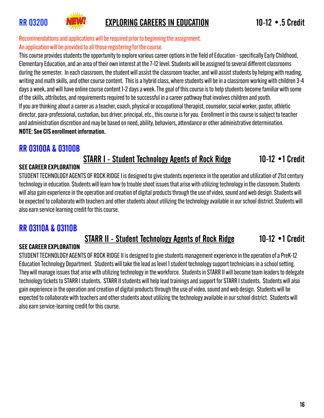

### RR 03200 **ENEW:** EXPLORING CAREERS IN EDUCATION 10-12 • 5 Credit

Recommendations and applications will be required prior to beginning the assignment. An application will be provided to all those registering for the course.

This course provides students the opportunity to explore various career options in the field of Education - specifically Early Childhood, Elementary Education, and an area of their own interest at the 7-12 level. Students will be assigned to several different classrooms during the semester. In each classroom, the student will assist the classroom teacher, and will assist students by helping with reading, writing and math skills, and other course content. This is a hybrid class, where students will be in a classroom working with children 3-4 days a week, and will have online course content 1-2 days a week. The goal of this course is to help students become familiar with some of the skills, attributes, and requirements required to be successful in a career pathway that involves children and youth. If you are thinking about a career as a teacher, coach, physical or occupational therapist, counselor, social worker, pastor, athletic director, para-professional, custodian, bus driver, principal, etc., this course is for you. Enrollment in this course is subject to teacher and administration discretion and may be based on need, ability, behaviors, attendance or other administrative determination. NOTE: See CIS enrollment information.

### RR 03100A & 03100B

### STARR I - Student Technology Agents of Rock Ridge 10-12 •1 Credit

### SEE CAREER EXPLORATION

STUDENT TECHNOLOGY AGENTS OF ROCK RIDGE I is designed to give students experience in the operation and utilization of 21st century technology in education. Students will learn how to trouble shoot issues that arise with utilizing technology in the classroom. Students will also gain experience in the operation and creation of digital products through the use of video, sound and web design. Students will be expected to collaborate with teachers and other students about utilizing the technology available in our school district. Students will also earn service learning credit for this course.

### RR 03110A & 03110B

### STARR II - Student Technology Agents of Rock Ridge 10-12 •1 Credit

### SEE CAREER EXPLORATION

STUDENT TECHNOLOGY AGENTS OF ROCK RIDGE II is designed to give students management experience in the operation of a PreK-12 Education Technology Department. Students will take the lead as level 1 student technology support technicians in a school setting. They will manage issues that arise with utilizing technology in the workforce. Students in STARR II will become team leaders to delegate technology tickets to STARR I students. STARR II students will help lead trainings and support for STARR I students. Students will also gain experience in the operation and creation of digital products through the use of video, sound and web design. Students will be expected to collaborate with teachers and other students about utilizing the technology available in our school district. Students will also earn service-learning credit for this course.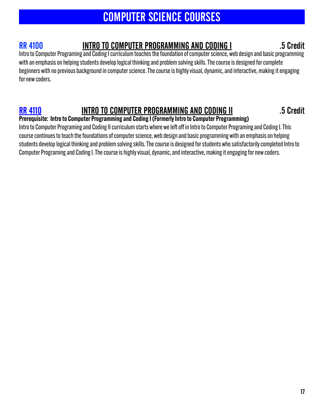# COMPUTER SCIENCE COURSES

### RR 4100 INTRO TO COMPUTER PROGRAMMING AND CODING I .5 Credit

Intro to Computer Programing and Coding I curriculum teaches the foundation of computer science, web design and basic programming with an emphasis on helping students develop logical thinking and problem solving skills. The course is designed for complete beginners with no previous background in computer science. The course is highly visual, dynamic, and interactive, making it engaging for new coders.

## RR 4110 INTRO TO COMPUTER PROGRAMMING AND CODING II THE RESERVENT OF STREAMS

### Prerequisite: Intro to Computer Programming and Coding I (Formerly Intro to Computer Programming)

Intro to Computer Programing and Coding II curriculum starts where we left off in Intro to Computer Programing and Coding I. This course continues to teach the foundations of computer science, web design and basic programming with an emphasis on helping students develop logical thinking and problem solving skills. The course is designed for students who satisfactorily completed Intro to Computer Programing and Coding I. The course is highly visual, dynamic, and interactive, making it engaging for new coders.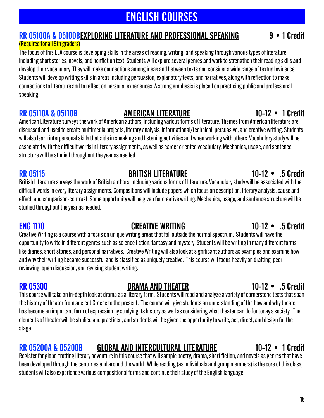# ENGLISH COURSES

### RR 05100A & 05100BEXPLORING LITERATURE AND PROFESSIONAL SPEAKING 9 . 1 Credit

### (Required for all 9th graders)

The focus of this ELA course is developing skills in the areas of reading, writing, and speaking through various types of literature, including short stories, novels, and nonfiction text. Students will explore several genres and work to strengthen their reading skills and develop their vocabulary. They will make connections among ideas and between texts and consider a wide range of textual evidence. Students will develop writing skills in areas including persuasion, explanatory texts, and narratives, along with reflection to make connections to literature and to reflect on personal experiences. A strong emphasis is placed on practicing public and professional speaking.

### RR 05110A & 05110B AMERICAN LITERATURE 10-12 • 1 Credit

American Literature surveys the work of American authors, including various forms of literature. Themes from American literature are discussed and used to create multimedia projects, literary analysis, informational/technical, persuasive, and creative writing. Students will also learn interpersonal skills that aide in speaking and listening activities and when working with others. Vocabulary study will be associated with the difficult words in literary assignments, as well as career oriented vocabulary. Mechanics, usage, and sentence structure will be studied throughout the year as needed.

RR 05115 **BRITISH LITERATURE** 10-12 • .5 Credit

British Literature surveys the work of British authors, including various forms of literature. Vocabulary study will be associated with the difficult words in every literary assignments. Compositions will include papers which focus on description, literary analysis, cause and effect, and comparison-contrast. Some opportunity will be given for creative writing. Mechanics, usage, and sentence structure will be studied throughout the year as needed.

ENG 1170 CREATIVE WRITING 10-12 • .5 Credit

Creative Writing is a course with a focus on unique writing areas that fall outside the normal spectrum. Students will have the opportunity to write in different genres such as science fiction, fantasy and mystery. Students will be writing in many different forms like diaries, short stories, and personal narratives. Creative Writing will also look at significant authors as examples and examine how and why their writing became successful and is classified as uniquely creative. This course will focus heavily on drafting, peer reviewing, open discussion, and revising student writing.

### RR 05300 **DRAMA AND THEATER** 10-12 • .5 Credit

This course will take an in-depth look at drama as a literary form. Students will read and analyze a variety of cornerstone texts that span the history of theater from ancient Greece to the present. The course will give students an understanding of the how and why theater has become an important form of expression by studying its history as well as considering what theater can do for today's society. The elements of theater will be studied and practiced, and students will be given the opportunity to write, act, direct, and design for the stage.

### RR 05200A & 05200B GLOBAL AND INTERCULTURAL LITERATURE 10-12 • 1 Credit

Register for globe-trotting literary adventure in this course that will sample poetry, drama, short fiction, and novels as genres that have been developed through the centuries and around the world. While reading (as individuals and group members) is the core of this class, students will also experience various compositional forms and continue their study of the English language.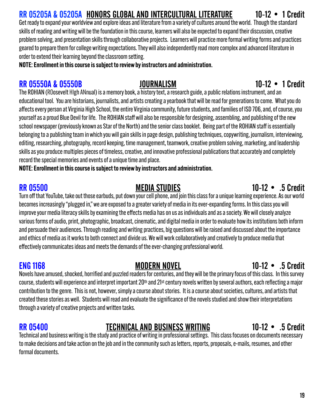# RR 05205A & 05205A HONORS GLOBAL AND INTERCULTURAL LITERATURE 10-12 • 1 Credit

Get ready to expand your worldview and explore ideas and literature from a variety of cultures around the world. Though the standard skills of reading and writing will be the foundation in this course, learners will also be expected to expand their discussion, creative problem solving, and presentation skills through collaborative projects. Learners will practice more formal writing forms and practices geared to prepare them for college writing expectations. They will also independently read more complex and advanced literature in order to extend their learning beyond the classroom setting.

NOTE: Enrollment in this course is subject to review by instructors and administration.

### RR 05550A & 05550B JOURNALISM 10-12 • 1 Credit

The ROHIAN (ROosevelt HIgh ANnual) is a memory book, a history text, a research guide, a public relations instrument, and an educational tool. You are historians, journalists, and artists creating a yearbook that will be read for generations to come. What you do affects every person at Virginia High School, the entire Virginia community, future students, and families of ISD 706, and, of course, you yourself as a proud Blue Devil for life. The ROHIAN staff will also be responsible for designing, assembling, and publishing of the new school newspaper (previously known as Star of the North) and the senior class booklet. Being part of the ROHIAN staff is essentially belonging to a publishing team in which you will gain skills in page design, publishing techniques, copywriting, journalism, interviewing, editing, researching, photography, record keeping, time management, teamwork, creative problem solving, marketing, and leadership skills as you produce multiples pieces of timeless, creative, and innovative professional publications that accurately and completely record the special memories and events of a unique time and place.

NOTE: Enrollment in this course is subject to review by instructors and administration.

Turn off that YouTube, take out those earbuds, put down your cell phone, and join this class for a unique learning experience. As our world becomes increasingly "plugged in," we are exposed to a greater variety of media in its ever-expanding forms. In this class you will improve your media literacy skills by examining the effects media has on us as individuals and as a society. We will closely analyze various forms of audio, print, photographic, broadcast, cinematic, and digital media in order to evaluate how its institutions both inform and persuade their audiences. Through reading and writing practices, big questions will be raised and discussed about the importance and ethics of media as it works to both connect and divide us. We will work collaboratively and creatively to produce media that effectively communicates ideas and meets the demands of the ever-changing professional world.

### ENG 1168 MODERN NOVEL 10-12 • .5 Credit

### Novels have amused, shocked, horrified and puzzled readers for centuries, and they will be the primary focus of this class. In this survey course, students will experience and interpret important 20<sup>th</sup> and 21<sup>st</sup> century novels written by several authors, each reflecting a major contribution to the genre. This is not, however, simply a course about stories. It is a course about societies, cultures, and artists that created these stories as well. Students will read and evaluate the significance of the novels studied and show their interpretations through a variety of creative projects and written tasks.

### RR 05400 TECHNICAL AND BUSINESS WRITING 10-12 • .5 Credit

Technical and business writing is the study and practice of writing in professional settings. This class focuses on documents necessary to make decisions and take action on the job and in the community such as letters, reports, proposals, e-mails, resumes, and other formal documents.

### RR 05500 MEDIA STUDIES 10-12 • .5 Credit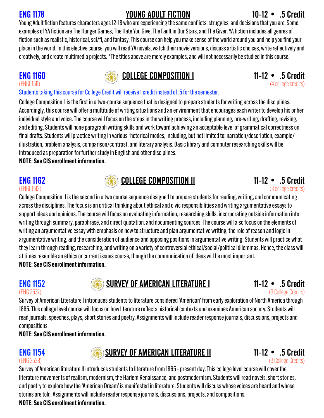# ENG 1178 YOUNG ADULT FICTION 10-12 • .5 Credit

Young Adult fiction features characters ages 12-18 who are experiencing the same conflicts, struggles, and decisions that you are. Some examples of YA fiction are The Hunger Games, The Hate You Give, The Fault in Our Stars, and The Giver. YA fiction includes all genres of fiction such as realistic, historical, sci/fi, and fantasy. This course can help you make sense of the world around you and help you find your place in the world. In this elective course, you will read YA novels, watch their movie versions, discuss artistic choices, write reflectively and creatively, and create multimedia projects. \*The titles above are merely examples, and will not necessarily be studied in this course.

# ENG 1160 COLLEGE COMPOSITION I 11-12 • .5 Credit (ENGLI5II)

(4 college credits)

### Students taking this course for College Credit will receive 1 credit instead of .5 for the semester.

College Composition I is the first in a two-course sequence that is designed to prepare students for writing across the disciplines. Accordingly, this course will offer a multitude of writing situations and an environment that encourages each writer to develop his or her individual style and voice. The course will focus on the steps in the writing process, including planning, pre-writing, drafting, revising, and editing. Students will hone paragraph writing skills and work toward achieving an acceptable level of grammatical correctness on final drafts. Students will practice writing in various rhetorical modes, including, but not limited to: narration/description, example/ illustration, problem analysis, comparison/contrast, and literary analysis. Basic library and computer researching skills will be introduced as preparation for further study in English and other disciplines.

NOTE: See CIS enrollment information.



College Composition II is the second in a two course sequence designed to prepare students for reading, writing, and communicating across the disciplines. The focus is on critical thinking about ethical and civic responsibilities and writing argumentative essays to support ideas and opinions. The course will focus on evaluating information, researching skills, incorporating outside information into writing through summary, paraphrase, and direct quotation, and documenting sources. The course will also focus on the elements of writing an argumentative essay with emphasis on how to structure and plan argumentative writing, the role of reason and logic in argumentative writing, and the consideration of audience and opposing positions in argumentative writing. Students will practice what they learn through reading, researching, and writing on a variety of controversial ethical/social/political dilemmas. Hence, the class will at times resemble an ethics or current issues course, though the communication of ideas will be most important. NOTE: See CIS enrollment information.

# ENG 1152 • .5 Credit SURVEY OF AMERICAN LITERATURE I 11-12 • .5 Credit<br>(S College Credits) (3 College Credits)

(3 College Credits)

Survey of American Literature I introduces students to literature considered 'American' from early exploration of North America through 1865. This college level course will focus on how literature reflects historical contexts and examines American society. Students will read journals, speeches, plays, short stories and poetry. Assignments will include reader response journals, discussions, projects and compositions.

NOTE: See CIS enrollment information.





Survey of American literature II introduces students to literature from 1865 - present day. This college level course will cover the literature movements of realism, modernism, the Harlem Renaissance, and postmodernism. Students will read novels. short stories, and poetry to explore how the 'American Dream' is manifested in literature. Students will discuss whose voices are heard and whose stories are told. Assignments will include reader response journals, discussions, projects, and compositions. NOTE: See CIS enrollment information.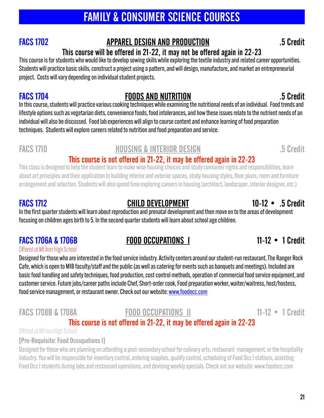# FAMILY & CONSUMER SCIENCE COURSES

### FACS 1702 APPAREL DESIGN AND PRODUCTION .5 Credit

# This course will be offered in 21-22, it may not be offered again in 22-23

This course is for students who would like to develop sewing skills while exploring the textile industry and related career opportunities. Students will practice basic skills, construct a project using a pattern, and will design, manufacture, and market an entrepreneurial project. Costs will vary depending on individual student projects.

### FACS 1704 FOODS AND NUTRITION .5 Credit

In this course, students will practice various cooking techniques while examining the nutritional needs of an individual. Food trends and lifestyle options such as vegetarian diets, convenience foods, food intolerances, and how these issues relate to the nutrient needs of an individual will also be discussed. Food lab experiences will align to course content and enhance learning of food preparation techniques. Students will explore careers related to nutrition and food preparation and service.

### FACS 1710 **HOUSING & INTERIOR DESIGN** 65 Credit

### This course is not offered in 21-22, it may be offered again in 22-23

This class is designed to help the student learn to make wise housing choices and study consumer rights and responsibilities, learn about art principles and their application to building interior and exterior spaces, study housing styles, floor plans, room and furniture arrangement and selection. Students will also spend time exploring careers in housing (architect, landscaper, interior designer, etc.)

### FACS 1712 CHILD DEVELOPMENT 10-12 • .5 Credit

In the first quarter students will learn about reproduction and prenatal development and then move on to the areas of development focusing on children ages birth to 5. In the second quarter students will learn about school age children.

### FACS 1706A & 1706B FOOD OCCUPATIONS I 11-12 • 1 Credit

### Offered at Mt Iron High School

Designed for those who are interested in the food service industry. Activity centers around our student-run restaurant, The Ranger Rock Cafe, which is open to MIB faculty/staff and the public (as well as catering for events such as banquets and meetings). Included are basic food handling and safety techniques, food production, cost control methods, operation of commercial food service equipment, and customer service. Future jobs/career paths include Chef, Short-order cook, Food preparation worker, waiter/waitress, host/hostess, food service management, or restaurant owner. Check out our website: [www.foodocc.com](http://www.foodocc.com)

### FACS 1708B & 1708A **FOOD OCCUPATIONS II** 11-12 • 1 Credit

### This course is not offered in 21-22, it may be offered again in 22-23

Offered at Mt Iron High School

### [Pre-Requisite: Food Occupations I]

Designed for those who are planning on attending a post-secondary school for culinary arts, restaurant management, or the hospitality industry. You will be responsible for inventory control, ordering supplies, qualify control, scheduling of Food Occ I stations, assisting Food Occ I students during labs and restaurant operations, and devising weekly specials. Check out our website: [www.foodocc.com](http://www.foodocc.com)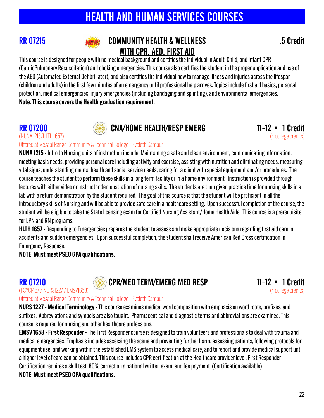# HEALTH AND HUMAN SERVICES COURSES



### RR 07215 **NEW! COMMUNITY HEALTH & WELLNESS** 5 Credit WITH CPR, AED, FIRST AID

This course is designed for people with no medical background and certifies the individual in Adult, Child, and Infant CPR (CardioPulmonary Resuscitation) and choking emergencies. This course also certifies the student in the properapplication and use of the AED (Automated External Defibrillator), and also certifies the individual how to manage illness and injuries across the lifespan (children and adults) in the first few minutes of an emergency until professional help arrives. Topics include first aid basics, personal protection, medical emergencies, injury emergencies (including bandaging and splinting), and environmental emergencies. Note: This course covers the Health graduation requirement.

# (NUNA 1215/HLTH 1657)



# **RR 07200 CNA/HOME HEALTH/RESP EMERG** 11-12 • 1 Credit (NUNA 1215/HLTH 1657)



Offered at Mesabi Range Community & Technical College - Eveleth Campus

NUNA 1215 - Intro to Nursing units of instruction include: Maintaining a safe and clean environment, communicating information, meeting basic needs, providing personal care including activity and exercise, assisting with nutrition and eliminating needs, measuring vital signs, understanding mental health and social service needs, caring for a client with special equipment and/or procedures. The course teaches the student to perform these skills in a long term facility or in a home environment. Instruction is provided through lectures with either video or instructor demonstration of nursing skills. The students are then given practice time for nursing skills in a lab with a return demonstration by the student required. The goal of this course is that the student will be proficient in all the introductory skills of Nursing and will be able to provide safe care in a healthcare setting. Upon successful completion of the course, the student will be eligible to take the State licensing exam for Certified Nursing Assistant/Home Health Aide. This course is a prerequisite for LPN and RN programs.

HLTH 1657 - Responding to Emergencies prepares the student to assess and make appropriate decisions regarding first aid care in accidents and sudden emergencies. Upon successful completion, the student shall receive American Red Cross certification in Emergency Response.

NOTE: Must meet PSEO GPA qualifications.

# (PSYC1457 / NURS1227 / EMSV1658)



RR 07210 **CPR/MED TERM/EMERG MED RESP 11-12 • 1 Credit** (PSYCI457/NURSI227/EMSVI658)



Offered at Mesabi Range Community & Technical College - Eveleth Campus

NURS 1227 - Medical Terminology - This course examines medical word composition with emphasis on word roots, prefixes, and suffixes. Abbreviations and symbols are also taught. Pharmaceutical and diagnostic terms and abbreviations are examined. This course is required for nursing and other healthcare professions.

EMSV 1658 - First Responder - The First Responder course is designed to train volunteers and professionals to deal with trauma and medical emergencies. Emphasis includes assessing the scene and preventing further harm, assessing patients, following protocols for equipment use, and working within the established EMS system to access medical care, and to report and provide medical support until a higher level of care can be obtained. This course includes CPR certification at the Healthcare provider level. First Responder Certification requires a skill test, 80% correct on a national written exam, and fee payment. (Certification available)

NOTE: Must meet PSEO GPA qualifications.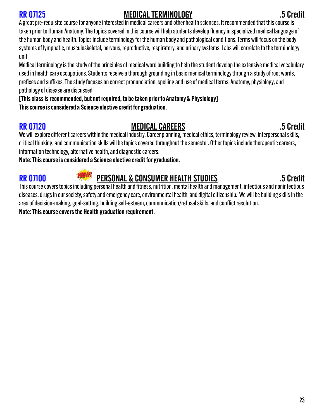### RR 07125 MEDICAL TERMINOLOGY .5 Credit

A great pre-requisite course for anyone interested in medical careers and other health sciences. It recommended that this course is taken prior to Human Anatomy. The topics covered in this course will help students develop fluency in specialized medical language of the human body and health. Topics include terminology for the human body and pathological conditions. Terms will focus on the body systems of lymphatic, musculoskeletal, nervous, reproductive, respiratory, and urinary systems. Labs will correlate to the terminology unit.

Medical terminology is the study of the principles of medical word building to help the student develop the extensive medical vocabulary used in health care occupations. Students receive a thorough grounding in basic medical terminology through a study of root words, prefixes and suffixes. The study focuses on correct pronunciation, spelling and use of medical terms. Anatomy, physiology, and pathology of disease are discussed.

[This class is recommended, but not required, to be taken prior to Anatomy & Physiology] This course is considered a Science elective credit for graduation.

### RR 07120 **RR 07120 MEDICAL CAREERS** 5 Credit

We will explore different careers within the medical industry. Career planning, medical ethics, terminology review, interpersonal skills, critical thinking, and communication skills will be topics covered throughout the semester. Other topics include therapeutic careers, information technology, alternative health, and diagnostic careers.

Note: This course is considered a Science elective credit for graduation.

# RR 07100 **PERSONAL & CONSUMER HEALTH STUDIES** 5 Credit

This course covers topics including personal health and fitness, nutrition, mental health and management, infectious and noninfectious diseases, drugs in our society, safety and emergency care, environmental health, and digital citizenship. We will be building skills in the area of decision-making, goal-setting, building self-esteem, communication/refusal skills, and conflict resolution. Note: This course covers the Health graduation requirement.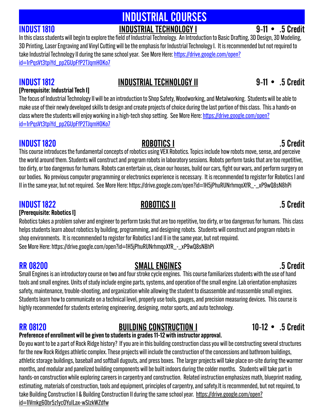# INDUSTRIAL COURSES INDUST 1810 INDUSTRIAL TECHNOLOGY I 9-11 • .5 Credit

In this class students will begin to explore the field of Industrial Technology. An Introduction to Basic Drafting, 3D Design, 3D Modeling, 3D Printing, Laser Engraving and Vinyl Cutting will be the emphasis for Industrial Technology I. It is recommended but not required to take Industrial Technology II during the same school year. See More Here: htt[ps://drive.google.com/open?](https://drive.google.com/open?id=1rPqsVt3tpiYd_pp2GUpFfP2TJqmH0Ko7) [id=1rPqsVt3tpiYd\\_pp2GUpFfP2TJqmH0Ko7](https://drive.google.com/open?id=1rPqsVt3tpiYd_pp2GUpFfP2TJqmH0Ko7)

### [Prerequisite: Industrial Tech I]

The focus of Industrial Technology II will be an introduction to Shop Safety, Woodworking, and Metalworking. Students will be able to make use of their newly developed skills to design and create projects of choice during the last portion of this class. This a hands-on class where the students will enjoy working in a high-tech shop setting. See More Here: htt[ps://drive.google.com/open?](https://drive.google.com/open?id=1rPqsVt3tpiYd_pp2GUpFfP2TJqmH0Ko7) [id=1rPqsVt3tpiYd\\_pp2GUpFfP2TJqmH0Ko7](https://drive.google.com/open?id=1rPqsVt3tpiYd_pp2GUpFfP2TJqmH0Ko7)

INDUST 1820 ROBOTICS I .5 Credit This course introduces the fundamental concepts of robotics using VEX Robotics. Topics include how robots move, sense, and perceive the world around them. Students will construct and program robots in laboratory sessions. Robots perform tasks that are too repetitive, too dirty, or too dangerous for humans. Robots can entertain us, clean our houses, build our cars, fight our wars, and perform surgery on our bodies. No previous computer programming or electronics experience is necessary. It is recommended to register for Robotics I and II in the same year, but not required. See More Here: htt[ps://drive.google.com/open?id=1H5jPhuRUNrhmqoXfR\\_-\\_xP9wQ8sN8hPi](https://drive.google.com/open?id=1H5jPhuRUNrhmqoXfR_-_xP9wQ8sN8hPi)

# INDUST 1822 ROBOTICS II .5 Credit

[Prerequisite: Robotics I]

Robotics takes a problem solver and engineer to perform tasks that are too repetitive, too dirty, or too dangerous for humans. This class helps students learn about robotics by building, programming, and designing robots. Students will construct and program robots in shop environments. It is recommended to register for Robotics I and II in the same year, but not required. See More Here: htt[ps://drive.google.com/open?id=1H5jPhuRUNrhmqoXfR\\_-\\_xP9wQ8sN8hPi](https://drive.google.com/open?id=1H5jPhuRUNrhmqoXfR_-_xP9wQ8sN8hPi)

# RR 08200 SMALL ENGINES 3.5 Credit

Small Engines is an introductory course on two and four stroke cycle engines. This course familiarizes students with the use of hand tools and small engines. Units of study include engine parts, systems, and operation of the small engine. Lab orientation emphasizes safety, maintenance, trouble-shooting, and organization while allowing the student to disassemble and reassemble small engines. Students learn how to communicate on a technical level, properly use tools, gauges, and precision measuring devices. This course is highly recommended for students entering engineering, designing, motor sports, and auto technology.

# RR 08120 BUILDING CONSTRUCTION I 10-12 • .5 Credit

### Preference of enrollment will be given to students in grades 11-12 with instructor approval.

Do you want to be a part of Rock Ridge history? If you are in this building construction class you will be constructing several structures for the new Rock Ridges athletic complex. These projects will include the construction of the concessions and bathroom buildings, athletic storage buildings, baseball and softball dugouts, and press boxes. The larger projects will take place on-site during the warmer months, and modular and panelized building components will be built indoors during the colder months. Students will take part in hands-on construction while exploring careers in carpentry and construction. Related instruction emphasizes math, blueprint reading, estimating, materials of construction, tools and equipment, principles of carpentry, and safety.It is recommended, but not required, to take Building Construction I & Building Construction II during the same school year. htt[ps://drive.google.com/open?](https://drive.google.com/open?id=1lVmkg60br5z1ycOYuILax-wSIzkWZdfw) [id=1lVmkg60br5z1ycOYuILax-wSIzkWZdfw](https://drive.google.com/open?id=1lVmkg60br5z1ycOYuILax-wSIzkWZdfw)

# INDUST 1812 INDUSTRIAL TECHNOLOGY II 9-11 • .5 Credit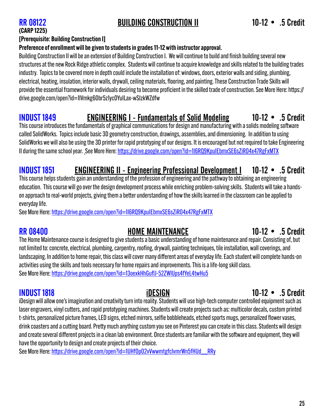### RR 08122 BUILDING CONSTRUCTION II 10-12 • .5 Credit

# (CARP 1225)

### [Prerequisite: Building Construction I]

### Preference of enrollment will be given to students in grades 11-12 with instructor approval.

Building Construction II will be an extension of Building Construction I. We will continue to build and finish building several new structures at the new Rock Ridge athletic complex. Students will continue to acquire knowledge and skills related to the building trades industry. Topics to be covered more in depth could include the installation of: windows, doors, exterior walls and siding, plumbing, electrical, heating, insulation, interior walls, drywall, ceiling materials, flooring, and painting. These Construction Trade Skills will provide the essential framework for individuals desiring to become proficient in the skilled trade of construction. See More Here: htt[ps://](https://drive.google.com/open?id=1lVmkg60br5z1ycOYuILax-wSIzkWZdfw) [drive.google.com/open?id=1lVmkg60br5z1ycOYuILax-wSIzkWZdfw](https://drive.google.com/open?id=1lVmkg60br5z1ycOYuILax-wSIzkWZdfw)

### INDUST 1849 ENGINEERING I - Fundamentals of Solid Modeling 10-12 • .5 Credit

This course introduces the fundamentals of graphical communications for design and manufacturing with a solids modeling software called SolidWorks. Topics include basic 3D geometry construction, drawings, assemblies, and dimensioning. In addition to using SolidWorks we will also be using the 3D printer for rapid prototyping of our designs. It is encouraged but not required to take Engineering II during the same school year. See More Here: htt[ps://drive.google.com/open?id=1I6RQ9KpuIEbmxSE6sZiR04x47RgFxMTX](https://drive.google.com/open?id=1I6RQ9KpuIEbmxSE6sZiR04x47RgFxMTX)

### INDUST 1851 ENGINEERING II - Engineering Professional Development I 10-12 • .5 Credit

This course helps students gain an understanding of the profession of engineering and the pathway to obtaining an engineering education. This course will go over the design development process while enriching problem-solving skills. Students will take a handson approach to real-world projects, giving them a better understanding of how the skills learned in the classroom can be applied to everyday life.

See More Here: htt[ps://drive.google.com/open?id=1I6RQ9KpuIEbmxSE6sZiR04x47RgFxMTX](https://drive.google.com/open?id=1I6RQ9KpuIEbmxSE6sZiR04x47RgFxMTX)

### RR 08400 **RR 08400 HOME MAINTENANCE** 10-12 • .5 Credit

The Home Maintenance course is designed to give students a basic understanding of home maintenance and repair. Consisting of, but not limited to: concrete, electrical, plumbing, carpentry, roofing, drywall, painting techniques, tile installation, wall coverings, and landscaping. In addition to home repair, this class will cover many different areas of everyday life. Each student will complete hands-on activities using the skills and tools necessary for home repairs and improvements. This is a life-long skill class. See More Here: htt[ps://drive.google.com/open?id=13oexkHhGu](https://drive.google.com/open?id=13oexkHhGuflJ-52ZWlUps4fYeL4twHu5)flJ-52ZWlUps4fYeL4twHu5

iDesign will allow one's imagination and creativity turn into reality. Students will use high-tech computer controlled equipment such as laser engravers, vinyl cutters, and rapid prototyping machines. Students will create projects such as: multicolor decals, custom printed t-shirts, personalized picture frames, LED signs, etched mirrors, selfie bobbleheads, etched sports mugs, personalized flower vases, drink coasters and a cutting board. Pretty much anything custom you see on Pinterest you can create in this class. Students will design and create several different projects in a clean lab environment. Once students are familiar with the software and equipment, they will have the opportunity to design and create projects of their choice.

See More Here: htt[ps://drive.google.com/open?id=1UHfOp02vVwwmtgfclvmrWn5fHUd\\_\\_RRy](https://drive.google.com/open?id=1UHfOp02vVwwmtgfclvmrWn5fHUd__RRy)

### INDUST 1818 iDESIGN 10-12 • .5 Credit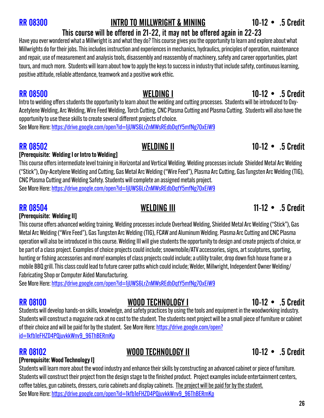### RR 08300 INTRO TO MILLWRIGHT & MINING 10-12 • .5 Credit

### This course will be offered in 21-22, it may not be offered again in 22-23

Have you ever wondered what a Millwright is and what they do? This course gives you the opportunity to learn and explore about what Millwrights do for their jobs. This includes instruction and experiences in mechanics, hydraulics, principles of operation, maintenance and repair, use of measurement and analysis tools, disassembly and reassembly of machinery, safety and career opportunities, plant tours, and much more. Students will learn about how to apply the keys to success in industry that include safety, continuous learning, positive attitude, reliable attendance, teamwork and a positive work ethic.

Intro to welding offers students the opportunity to learn about the welding and cutting processes. Students will be introduced to Oxy-Acetylene Welding, Arc Welding, Wire Feed Welding, Torch Cutting, CNC Plasma Cutting and Plasma Cutting. Students will also have the opportunity to use these skills to create several different projects of choice.

See More Here: htt[ps://drive.google.com/open?id=1jUWS6LrZnMWsREdbDqtY5mfNg7OxEiW9](https://drive.google.com/open?id=1jUWS6LrZnMWsREdbDqtY5mfNg7OxEiW9)

### RR 08502 WELDING II 10-12 • .5 Credit

### [Prerequisite: Welding I or Intro to Welding]

This course offers intermediate level training in Horizontal and Vertical Welding. Welding processes include Shielded Metal Arc Welding ("Stick"), Oxy-Acetylene Welding and Cutting, Gas Metal Arc Welding ("Wire Feed"), Plasma Arc Cutting, Gas Tungsten Arc Welding (TIG), CNC Plasma Cutting and Welding Safety. Students will complete an assigned metals project. See More Here: htt[ps://drive.google.com/open?id=1jUWS6LrZnMWsREdbDqtY5mfNg7OxEiW9](https://drive.google.com/open?id=1jUWS6LrZnMWsREdbDqtY5mfNg7OxEiW9)

### [Prerequisite: Welding II]

This course offers advanced welding training. Welding processes include Overhead Welding, Shielded Metal Arc Welding ("Stick"), Gas Metal Arc Welding ("Wire Feed"), Gas Tungsten Arc Welding (TIG), FCAW and Aluminum Welding. Plasma Arc Cutting and CNC Plasma operation will also be introduced in this course. Welding III will give students the opportunity to design and create projects of choice, or be part of a class project. Examples of choice projects could include; snowmobile/ATV accessories, signs, art sculptures, sporting, hunting or fishing accessories and more! examples of class projects could include; a utility trailer, drop down fish house frame or a mobile BBQ grill. This class could lead to future career paths which could include; Welder, Millwright, Independent Owner Welding/ Fabricating Shop or Computer Aided Manufacturing.

See More Here: htt[ps://drive.google.com/open?id=1jUWS6LrZnMWsREdbDqtY5mfNg7OxEiW9](https://drive.google.com/open?id=1jUWS6LrZnMWsREdbDqtY5mfNg7OxEiW9)

### RR 08100 MOOD TECHNOLOGY I 10-12 • .5 Credit

Students will develop hands-on skills, knowledge, and safety practices by using the tools and equipment in the woodworking industry. Students will construct a magazine rack at no cost to the student. The students next project will be a small piece of furniture or cabinet of their choice and will be paid for by the student. See More Here: htt[ps://drive.google.com/open?](https://drive.google.com/open?id=1kfb1eFHZD4PQjuvkkWnv9_96ThBERmKp) [id=1kfb1eFHZD4PQjuvkkWnv9\\_96ThBERmKp](https://drive.google.com/open?id=1kfb1eFHZD4PQjuvkkWnv9_96ThBERmKp)

### RR 08102 MOOD TECHNOLOGY II 10-12 • .5 Credit

### [Prerequisite: Wood Technology I]

Students will learn more about the wood industry and enhance their skills by constructing an advanced cabinet or piece of furniture. Students will construct their project from the design stage to the finished product. Project examples include entertainment centers, coffee tables, gun cabinets, dressers, curio cabinets and display cabinets. The project will be paid for by the student. See More Here: htt[ps://drive.google.com/open?id=1kfb1eFHZD4PQjuvkkWnv9\\_96ThBERmKp](https://drive.google.com/open?id=1kfb1eFHZD4PQjuvkkWnv9_96ThBERmKp) 

### RR 08500 WELDING I 10-12 • .5 Credit

### RR 08504 **RR 08504** WELDING III 11-12 • .5 Credit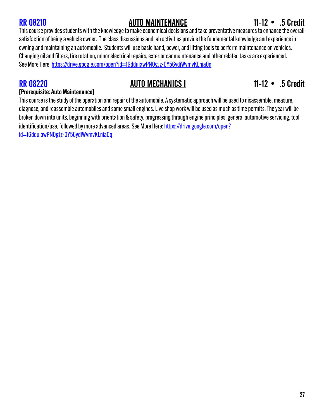### RR 08210 **AUTO MAINTENANCE** 11-12 • .5 Credit

This course provides students with the knowledge to make economical decisions and take preventative measures to enhance the overall satisfaction of being a vehicle owner. The class discussions and lab activities provide the fundamental knowledge and experience in owning and maintaining an automobile. Students will use basic hand, power, and lifting tools to perform maintenance on vehicles. Changing oil and filters, tire rotation, minor electrical repairs, exterior car maintenance and other related tasks are experienced. See More Here: htt[ps://drive.google.com/open?id=1GdduiawPNOgJz-0Y56ydiWvmvKLnia0q](https://drive.google.com/open?id=1GdduiawPNOgJz-0Y56ydiWvmvKLnia0q)

### RR 08220 **AUTO MECHANICS I** 11-12 • .5 Credit

### [Prerequisite: Auto Maintenance]

This course is the study of the operation and repair of the automobile. A systematic approach will be used to disassemble, measure, diagnose, and reassemble automobiles and some small engines. Live shop work will be used as much as time permits. The year will be broken down into units, beginning with orientation & safety, progressing through engine principles, general automotive servicing, tool identification/use, followed by more advanced areas. See More Here: htt[ps://drive.google.com/open?](https://drive.google.com/open?id=1GdduiawPNOgJz-0Y56ydiWvmvKLnia0q) [id=1GdduiawPNOgJz-0Y56ydiWvmvKLnia0q](https://drive.google.com/open?id=1GdduiawPNOgJz-0Y56ydiWvmvKLnia0q)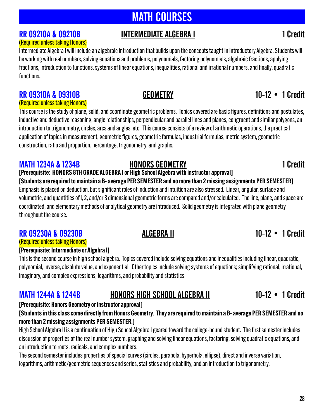# MATH COURSES

# RR 09210A & 09210B INTERMEDIATE ALGEBRA I **1** Credit

# (Required unless taking Honors)

Intermediate Algebra I will include an algebraic introduction that builds upon the concepts taught in Introductory Algebra. Students will be working with real numbers, solving equations and problems, polynomials, factoring polynomials, algebraic fractions, applying fractions, introduction to functions, systems of linear equations, inequalities, rational and irrational numbers, and finally, quadratic functions.

### RR 09310A & 09310B GEOMETRY 10-12 • 1 Credit

### (Required unless taking Honors)

This course is the study of plane, solid, and coordinate geometric problems. Topics covered are basic figures, definitions and postulates, inductive and deductive reasoning, angle relationships, perpendicular and parallel lines and planes, congruent and similar polygons, an introduction to trigonometry, circles, arcs and angles, etc. This course consists of a review of arithmetic operations, the practical application of topics in measurement, geometric figures, geometric formulas, industrial formulas, metric system, geometric construction, ratio and proportion, percentage, trigonometry, and graphs.

### MATH 1234A & 1234B **HONORS GEOMETRY** 1 Credit

### [Prerequisite: HONORS 8TH GRADE ALGEBRA I or High School Algebra with instructor approval] [Students are required to maintain a B- average PER SEMESTER and no more than 2 missing assignments PER SEMESTER]

Emphasis is placed on deduction, but significant roles of induction and intuition are also stressed. Linear, angular, surface and volumetric, and quantities of l, 2, and/or 3 dimensional geometric forms are compared and/or calculated. The line, plane, and space are coordinated; and elementary methods of analytical geometry are introduced. Solid geometry is integrated with plane geometry throughout the course.

### RR 09230A & 09230B ALGEBRA II 10-12 • 1 Credit

### (Required unless taking Honors)

### [Prerequisite: Intermediate or Algebra I]

This is the second course in high school algebra. Topics covered include solving equations and inequalities including linear, quadratic, polynomial, inverse, absolute value, and exponential. Other topics include solving systems of equations; simplifying rational, irrational, imaginary, and complex expressions; logarithms, and probability and statistics.

### MATH 1244A & 1244B HONORS HIGH SCHOOL ALGEBRA II 10-12 • 1 Credit

### [Prerequisite: Honors Geometry or instructor approval**]**

### [Students in this class come directly from Honors Geometry. They are required to maintain a B- average PER SEMESTER and no more than 2 missing assignments PER SEMESTER.]

High School Algebra II is a continuation of High School Algebra I geared toward the college-bound student. The first semester includes discussion of properties of the real number system, graphing and solving linear equations, factoring, solving quadratic equations, and an introduction to roots, radicals, and complex numbers.

The second semester includes properties of special curves (circles, parabola, hyperbola, ellipse), direct and inverse variation, logarithms, arithmetic/geometric sequences and series, statistics and probability, and an introduction to trigonometry.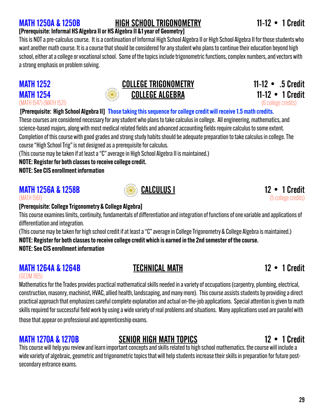### MATH 1250A & 1250B HIGH SCHOOL TRIGONOMETRY 11-12 • 1 Credit

### [Prerequisite: Informal HS Algebra II or HS Algebra II &1 year of Geometry]

This is NOT a pre-calculus course. It is a continuation of Informal High School Algebra II or High School Algebra II for those students who want another math course. It is a course that should be considered for any student who plans to continue their education beyond high school, either at a college or vocational school. Some of the topics include trigonometric functions, complex numbers, and vectors with a strong emphasis on problem solving.

### MATH 1252 COLLEGE TRIGONOMETRY 11-12 • .5 Credit MATH 1254 **COLLEGE ALGEBRA** 11-12 • 1 Credit

(MATH 1547) (MATH 1521) (6 college credits)

### [Prerequisite: High School Algebra II] Those taking this sequence for college credit will receive 1.5 math credits.

These courses are considered necessary for any student who plans to take calculus in college. All engineering, mathematics, and science-based majors, along with most medical related fields and advanced accounting fields require calculus to some extent. Completion of this course with good grades and strong study habits should be adequate preparation to take calculus in college. The course "High School Trig" is not designed as a prerequisite for calculus.

(This course may be taken if at least a "C" average in High School Algebra II is maintained.)

### NOTE: Register for both classes to receive college credit.

NOTE: See CIS enrollment information

### **MATH 1256A & 1258B CALCULUS I** 12 • 1 Credit (MATH 1561) (5 college credits)





### [Prerequisite: College Trigonometry & College Algebra]

This course examines limits, continuity, fundamentals of differentiation and integration of functions of one variable and applications of differentiation and integration.

(This course may be taken for high school credit if at least a "C" average in College Trigonometry & College Algebra is maintained.)

NOTE: Register for both classes to receive college credit which is earned in the 2nd semester of the course.

NOTE: See CIS enrollment information

### MATH 1264A & 1264B TECHNICAL MATH 1264A & 1264B

### (GEDM 1165)

Mathematics for the Trades provides practical mathematical skills needed in a variety of occupations (carpentry, plumbing, electrical, construction, masonry, machinist, HVAC, allied health, landscaping, and many more). This course assists students by providing a direct practical approach that emphasizes careful complete explanation and actual on-the-job applications. Special attention is given to math skills required for successful field work by using a wide variety of real problems and situations. Many applications used are parallel with those that appear on professional and apprenticeship exams.

### MATH 1270A & 1270B SENIOR HIGH MATH TOPICS 12 • 1 Credit

This course will help you review and learn important concepts and skills related to high school mathematics. the course will include a wide variety of algebraic, geometric and trigonometric topics that will help students increase their skills in preparation for future postsecondary entrance exams.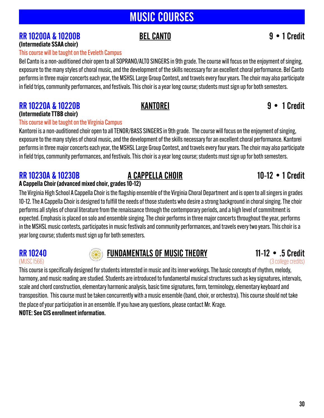# MUSIC COURSES

### RR 10200A & 10200B BEL CANTO 9 • 1 Credit

### (Intermediate SSAA choir) This course will be taught on the Eveleth Campus

Bel Canto is a non-auditioned choir open to all SOPRANO/ALTO SINGERS in 9th grade. The course will focus on the enjoyment of singing, exposure to the many styles of choral music, and the development of the skills necessary for an excellent choral performance. Bel Canto performs in three major concerts each year, the MSHSL Large Group Contest, and travels every four years. The choir may also participate in field trips, community performances, and festivals. This choir is a year long course; students must sign up for both semesters.

### RR 10220A & 10220B KANTOREI 9 • 1 Credit (Intermediate TTBB choir)

### This course will be taught on the Virginia Campus

Kantorei is a non-auditioned choir open to all TENOR/BASS SINGERS in 9th grade. The course will focus on the enjoyment of singing, exposure to the many styles of choral music, and the development of the skills necessary for an excellent choral performance. Kantorei performs in three major concerts each year, the MSHSL Large Group Contest, and travels every four years. The choir may also participate in field trips, community performances, and festivals. This choir is a year long course; students must sign up for both semesters.

### RR 10230A & 10230B A CAPPELLA CHOIR 10-12 • 1 Credit

### A Cappella Choir (advanced mixed choir, grades 10-12)

The Virginia High School A Cappella Choir is the flagship ensemble of the Virginia Choral Department and is open to all singers in grades 10-12. The A Cappella Choir is designed to fulfill the needs of those students who desire a strong background in choral singing. The choir performs all styles of choral literature from the renaissance through the contemporary periods, and a high level of commitment is expected. Emphasis is placed on solo and ensemble singing. The choir performs in three major concerts throughout the year, performs in the MSHSL music contests, participates in music festivals and community performances, and travels every two years. This choir is a year long course; students must sign up for both semesters.



# RR 10240 **FUNDAMENTALS OF MUSIC THEORY** 11-12 • .5 Credit<br>
(3 college credits) (3 college credits)

(3 college credits)

This course is specifically designed for students interested in music and its inner workings. The basic concepts of rhythm, melody, harmony, and music reading are studied. Students are introduced to fundamental musical structures such as key signatures, intervals, scale and chord construction, elementary harmonic analysis, basic time signatures, form, terminology, elementary keyboard and transposition. This course must be taken concurrently with a music ensemble (band, choir, or orchestra). This course should not take the place of your participation in an ensemble. If you have any questions, please contact Mr. Krage. NOTE: See CIS enrollment information.

30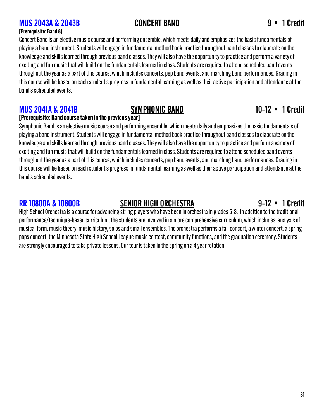### MUS 2043A & 2043B CONCERT BAND 9 • 1 Credit

### [Prerequisite: Band 8]

Concert Band is an elective music course and performing ensemble, which meets daily and emphasizes the basic fundamentals of playing a band instrument. Students will engage in fundamental method book practice throughout band classes to elaborate on the knowledge and skills learned through previous band classes. They will also have the opportunity to practice and perform a variety of exciting and fun music that will build on the fundamentals learned in class. Students are required to attend scheduled band events throughout the year as a part of this course, which includes concerts, pep band events, and marching band performances. Grading in this course will be based on each student's progress in fundamental learning as well as their active participation and attendance at the band's scheduled events.

### **MUS 2041A & 2041B** SYMPHONIC BAND 10-12 • 1 Credit

### [Prerequisite: Band course taken in the previous year]

Symphonic Band is an elective music course and performing ensemble, which meets daily and emphasizes the basic fundamentals of playing a band instrument. Students will engage in fundamental method book practice throughout band classes to elaborate on the knowledge and skills learned through previous band classes. They will also have the opportunity to practice and perform a variety of exciting and fun music that will build on the fundamentals learned in class. Students are required to attend scheduled band events throughout the year as a part of this course, which includes concerts, pep band events, and marching band performances. Grading in this course will be based on each student's progress in fundamental learning as well as their active participation and attendance at the band's scheduled events.

### RR 10800A & 10800B SENIOR HIGH ORCHESTRA 9-12 • 1 Credit

High School Orchestra is a course for advancing string players who have been in orchestra in grades 5-8. In addition to the traditional performance/technique-based curriculum, the students are involved in a more comprehensive curriculum, which includes: analysis of musical form, music theory, music history, solos and small ensembles. The orchestra performs a fall concert, a winter concert, a spring pops concert, the Minnesota State High School League music contest, community functions, and the graduation ceremony. Students are strongly encouraged to take private lessons. Our tour is taken in the spring on a 4 year rotation.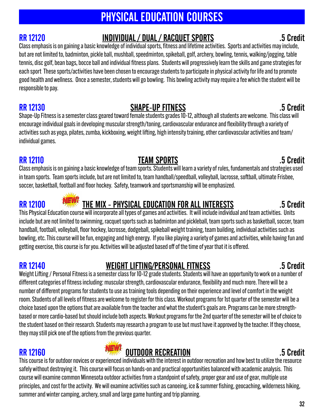# PHYSICAL EDUCATION COURSES

# RR 12120 INDIVIDUAL / DUAL / RACQUET SPORTS .5 Credit

Class emphasis is on gaining a basic knowledge of individual sports, fitness and lifetime activities. Sports and activities may include, but are not limited to, badminton, pickle ball, mushball, speedminton, spikeball, golf, archery, bowling, tennis, walking/jogging, table tennis, disc golf, bean bags, bocce ball and individual fitness plans. Students will progressively learn the skills and game strategies for each sport These sports/activities have been chosen to encourage students to participate in physical activity for life and to promote good health and wellness. Once a semester, students will go bowling. This bowling activity may require a fee which the student will be responsible to pay.

### RR 12130 SHAPE-UP FITNESS .5 Credit

Shape-Up Fitness is a semester class geared toward female students grades 10-12, although all students are welcome. This class will encourage individual goals in developing muscular strength/toning, cardiovascular endurance and flexibility through a variety of activities such as yoga, pilates, zumba, kickboxing, weight lifting, high intensity training, other cardiovascular activities and team/ individual games.

### RR 12110 **RR 12110 TEAM SPORTS .5 Credit**

Class emphasis is on gaining a basic knowledge of team sports. Students will learn a variety of rules, fundamentals and strategies used in team sports. Team sports include, but are not limited to, team handball/speedball, volleyball, lacrosse, softball, ultimate Frisbee, soccer, basketball, football and floor hockey. Safety, teamwork and sportsmanship will be emphasized.



# RR 12100 THE MIX - PHYSICAL EDUCATION FOR ALL INTERESTS ... 5 Credit

This Physical Education course will incorporate all types of games and activities. It will include individual and team activities. Units include but are not limited to swimming, racquet sports such as badminton and pickleball, team sports such as basketball, soccer, team handball, football, volleyball, floor hockey, lacrosse, dodgeball, spikeball weight training, team building, individual activities such as bowling, etc. This course will be fun, engaging and high energy. If you like playing a variety of games and activities, while having fun and getting exercise, this course is for you. Activities will be adjusted based off of the time of year that it is offered.

# RR 12140 WEIGHT LIFTING/PERSONAL FITNESS .5 Credit

Weight Lifting / Personal Fitness is a semester class for 10-12 grade students. Students will have an opportunity to work on a number of different categories of fitness including: muscular strength, cardiovascular endurance, flexibility and much more. There will be a number of different programs for students to use as training tools depending on their experience and level of comfort in the weight room. Students of all levels of fitness are welcome to register for this class. Workout programs for 1st quarter of the semester will be a choice based upon the options that are available from the teacher and what the student's goals are. Programs can be more strengthbased or more cardio-based but should include both aspects. Workout programs for the 2nd quarter of the semester will be of choice to the student based on their research. Students may research a program to use but must have it approved by the teacher. If they choose, they may still pick one of the options from the previous quarter.

# RR 12160 **Case of the CONTROVIST CONTROL** CONTROVERSE CREATION **BEEN SECTION CONTROL** SCREAMENT SCREAMENT SCREAMENT SCREAMENT SCREAMENT SCREAMENT SCREAMENT SCREAMENT SCREAMENT SCREAMENT SCREAMENT SCREAMENT SCREAMENT SCR

This course is for outdoor novices or experienced individuals with the interest in outdoor recreation and how best to utilize the resource safely without destroying it. This course will focus on hands-on and practical opportunities balanced with academic analysis. This course will examine common Minnesota outdoor activities from a standpoint of safety, proper gear and use of gear, multiple use principles, and cost for the activity. We will examine activities such as canoeing, ice & summer fishing, geocaching, wilderness hiking, summer and winter camping, archery, small and large game hunting and trip planning.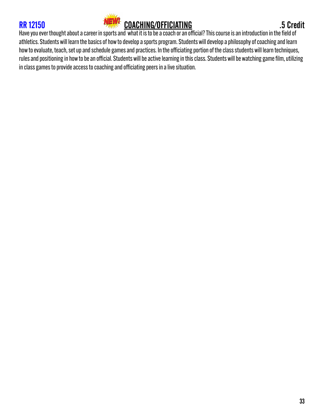



Have you ever thought about a career in sports and what it is to be a coach or an official? This course is an introduction in the field of athletics. Students will learn the basics of how to develop a sports program. Students will develop a philosophy of coaching and learn how to evaluate, teach, set up and schedule games and practices. In the officiating portion of the class students will learn techniques, rules and positioning in how to be an official. Students will be active learning in this class. Students will be watching game film, utilizing in class games to provide access to coaching and officiating peers in a live situation.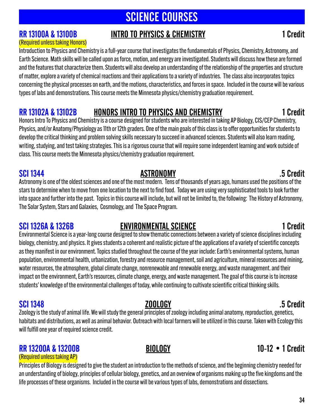# SCIENCE COURSES

### RR 13100A & 13100B INTRO TO PHYSICS & CHEMISTRY **International Structure 1** Credit

### (Required unless taking Honors)

Introduction to Physics and Chemistry is a full-year course that investigates the fundamentals of Physics, Chemistry, Astronomy, and Earth Science. Math skills will be called upon as force, motion, and energy are investigated. Students will discuss how these are formed and the features that characterize them. Students will also develop an understanding of the relationship of the properties and structure of matter, explore a variety of chemical reactions and their applications to a variety of industries. The class also incorporates topics concerning the physical processes on earth, and the motions, characteristics, and forces in space. Included in the course will be various types of labs and demonstrations. This course meets the Minnesota physics/chemistry graduation requirement.

### RR 13102A & 13102B HONORS INTRO TO PHYSICS AND CHEMISTRY THE MODEL OF LOTE OF THE MODEL OF THE METHOD OF THE M

Honors Intro To Physics and Chemistry is a course designed for students who are interested in taking AP Biology, CIS/CEP Chemistry, Physics, and/or Anatomy/Physiology as 11th or 12th graders. One of the main goals of this class is to offer opportunities for students to develop the critical thinking and problem solving skills necessary to succeed in advanced sciences. Students will also learn reading, writing, studying, and test taking strategies. This is a rigorous course that will require some independent learning and work outside of class. This course meets the Minnesota physics/chemistry graduation requirement.

SCI 1344 ASTRONOMY .5 Credit Astronomy is one of the oldest sciences and one of the most modern. Tens of thousands of years ago, humans used the positions of the stars to determine when to move from one location to the next to find food. Today we are using very sophisticated tools to look further into space and further into the past. Topics in this course will include, but will not be limited to, the following: The History of Astronomy, The Solar System, Stars and Galaxies, Cosmology, and The Space Program.

### SCI 1326A & 1326B ENVIRONMENTAL SCIENCE EXAMPLE 1 Credit

Environmental Science is a year-long course designed to show thematic connections between a variety of science disciplines including biology, chemistry, and physics. It gives students a coherent and realistic picture of the applications of a variety of scientific concepts as they manifest in our environment. Topics studied throughout the course of the year include: Earth's environmental systems, human population, environmental health, urbanization, forestry and resource management, soil and agriculture, mineral resources and mining, water resources, the atmosphere, global climate change, nonrenewable and renewable energy, and waste management. and their impact on the environment, Earth's resources, climate change, energy, and waste management. The goal of this course is to increase students' knowledge of the environmental challenges of today, while continuing to cultivate scientific critical thinking skills.

SCI 1348 ZOOLOGY .5 Credit Zoology is the study of animal life. We will study the general principles of zoology including animal anatomy, reproduction, genetics, habitats and distributions, as well as animal behavior. Outreach with local farmers will be utilized in this course. Taken with Ecology this will fulfill one year of required science credit.

### RR 13200A & 13200B BIOLOGY 10-12 • 1 Credit

### (Required unless taking AP)

Principles of Biology is designed to give the student an introduction to the methods of science, and the beginning chemistry needed for an understanding of biology, principles of cellular biology, genetics, and an overview of organisms making up the five kingdoms and the life processes of these organisms. Included in the course will be various types of labs, demonstrations and dissections.

### 34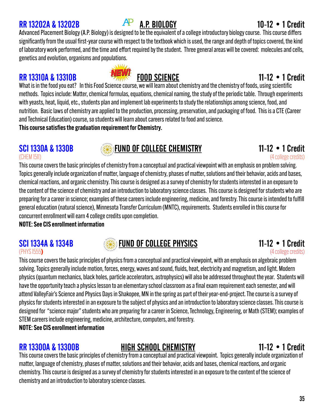### RR 13202A & 13202B  $AP$  A.P. BIOLOGY 10-12 • 1 Credit

Advanced Placement Biology (A.P. Biology) is designed to be the equivalent of a college introductory biology course. This course differs significantly from the usual first-year course with respect to the textbook which is used, the range and depth of topics covered, the kind of laboratory work performed, and the time and effort required by the student. Three general areas will be covered: molecules and cells, genetics and evolution, organisms and populations.

### RR 13310A & 13310B FOOD SCIENCE 11-12 • 1 Credit

What is in the food you eat? In this Food Science course, we will learn about chemistry and the chemistry of foods, using scientific methods. Topics include: Matter, chemical formulas, equations, chemical naming, the study of the periodic table. Through experiments with yeasts, heat, liquid, etc., students plan and implement lab experiments to study the relationships among science, food, and nutrition. Basic laws of chemistry are applied to the production, processing, preservation, and packaging of food. This is a CTE (Career and Technical Education) course, so students will learn about careers related to food and science.

This course satisfies the graduation requirement for Chemistry.

# SCI 1330A & 1330B<br>(CHEMISTIRY 11-12 • 1 Credit

(CHEM 1511) (4 college credits) This course covers the basic principles of chemistry from a conceptual and practical viewpoint with an emphasis on problem solving. Topics generally include organization of matter, language of chemistry, phases of matter, solutions and their behavior, acids and bases, chemical reactions, and organic chemistry. This course is designed as a survey of chemistry for students interested in an exposure to the content of the science of chemistry and an introduction to laboratory science classes. This course is designed for students who are preparing for a career in science; examples of these careers include engineering, medicine, and forestry. This course is intended to fulfill general education (natural science), Minnesota Transfer Curriculum (MNTC), requirements. Students enrolled in this course for concurrent enrollment will earn 4 college credits upon completion.

NOTE: See CIS enrollment information

# SCI 1334A & 1334B **SCI 1334A & 1334B** FUND OF COLLEGE PHYSICS **11-12 • 1 Credit**<br>(energe credits) (4 college credits)

(PHYS 1555**)** (4 college credits) This course covers the basic principles of physics from a conceptual and practical viewpoint, with an emphasis on algebraic problem solving. Topics generally include motion, forces, energy, waves and sound, fluids, heat, electricity and magnetism, and light. Modern physics (quantum mechanics, black holes, particle accelerators, astrophysics) will also be addressed throughout the year. Students will have the opportunity teach a physics lesson to an elementary school classroom as a final exam requirement each semester, and will attend ValleyFair's Science and Physics Days in Shakopee, MN in the spring as part of their year-end-project. The course is a survey of physics for students interested in an exposure to the subject of physics and an introduction to laboratory science classes. This course is designed for "science major" students who are preparing for a career in Science, Technology, Engineering, or Math (STEM); examples of STEM careers include engineering, medicine, architecture, computers, and forestry. NOTE: See CIS enrollment information

### RR 13300A & 13300B HIGH SCHOOL CHEMISTRY 11-12 • 1 Credit

This course covers the basic principles of chemistry from a conceptual and practical viewpoint. Topics generally include organization of matter, language of chemistry, phases of matter, solutions and their behavior, acids and bases, chemical reactions, and organic chemistry. This course is designed as a survey of chemistry for students interested in an exposure to the content of the science of chemistry and an introduction to laboratory science classes.

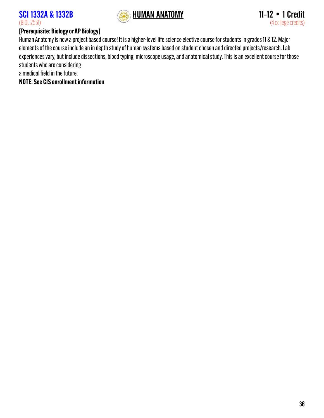

### [Prerequisite: Biology or AP Biology]

Human Anatomy is now a project based course! It is a higher-level life science elective course for students in grades 11 & 12. Major elements of the course include an in depth study of human systems based on student chosen and directed projects/research. Lab experiences vary, but include dissections, blood typing, microscope usage, and anatomical study. This is an excellent course for those students who are considering

a medical field in the future.

NOTE: See CIS enrollment information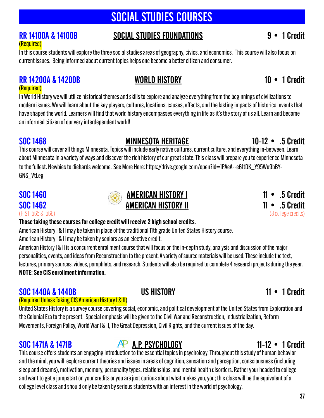# SOCIAL STUDIES COURSES

# (Required)

### RR 14100A & 14100B SOCIAL STUDIES FOUNDATIONS 9 • 1 Credit

In this course students will explore the three social studies areas of geography, civics, and economics. This course will also focus on current issues. Being informed about current topics helps one become a better citizen and consumer.

### RR 14200A & 14200B WORLD HISTORY 10 • 1 Credit (Required)

In World History we will utilize historical themes and skills to explore and analyze everything from the beginnings of civilizations to modern issues. We will learn about the key players, cultures, locations, causes, effects, and the lasting impacts of historical events that have shaped the world. Learners will find that world history encompasses everything in life as it's the story of us all. Learn and become an informed citizen of our very interdependent world!

### SOC 1468 MINNESOTA HERITAGE 10-12 • .5 Credit

This course will cover all things Minnesota. Topics will include early native cultures, current culture, and everything in-between. Learn about Minnesota in a variety of ways and discover the rich history of our great state. This class will prepare you to experience Minnesota to the fullest. Newbies to diehards welcome. See More Here: htt[ps://drive.google.com/open?id=1PAeA--e61tDK\\_Y95Wu9bBY-](https://drive.google.com/open?id=1PAeA--e61tDK_Y95Wu9bBY-GNS_VtLeg)[GNS\\_VtLeg](https://drive.google.com/open?id=1PAeA--e61tDK_Y95Wu9bBY-GNS_VtLeg)

### Those taking these courses for college credit will receive 2 high school credits.

American History I & II may be taken in place of the traditional 11th grade United States History course.

American History I & II may be taken by seniors as an elective credit.

American History I & II is a concurrent enrollment course that will focus on the in-depth study, analysis and discussion of the major personalities, events, and ideas from Reconstruction to the present. A variety of source materials will be used. These include the text, lectures, primary sources, videos, pamphlets, and research. Students will also be required to complete 4 research projects during the year. NOTE: See CIS enrollment information.

### SOC 1440A & 1440B US HISTORY 11 • 1 Credit

### (Required Unless Taking CIS American History I & II)

United States History is a survey course covering social, economic, and political development of the United States from Exploration and the Colonial Era to the present. Special emphasis will be given to the Civil War and Reconstruction, Industrialization, Reform Movements, Foreign Policy, World War I & II, The Great Depression, Civil Rights, and the current issues of the day.

### SOC 1471A & 1471B  $AP$  <u>A.P. psychology</u>  $11-12$  • 1 Credit

This course offers students an engaging introduction to the essential topics in psychology. Throughout this study of human behavior and the mind, you will explore current theories and issues in areas of cognition, sensation and perception, consciousness (including sleep and dreams), motivation, memory, personality types, relationships, and mental health disorders. Rather your headed to college and want to get a jumpstart on your credits or you are just curious about what makes you, you; this class will be the equivalent of a college level class and should only be taken by serious students with an interest in the world of psychology.

### 37

# (HIST 1565 & 1566) (8 college credits)

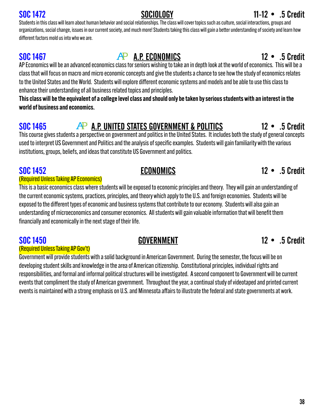# Students in this class will learn about human behavior and social relationships. The class will cover topics such as culture, social interactions, groups and

different factors mold us into who we are.

# SOC 1467 **AP A.P. ECONOMICS** 12 • .5 Credit

AP Economics will be an advanced economics class for seniors wishing to take an in depth look at the world of economics. This will be a class that will focus on macro and micro economic concepts and give the students a chance to see how the study of economics relates to the United States and the World. Students will explore different economic systems and models and be able to use this class to enhance their understanding of all business related topics and principles.

organizations, social change, issues in our current society, and much more! Students taking this class will gain a better understanding of society and learn how

This class will be the equivalent of a college level class and should only be taken by serious students with an interest in the world of business and economics.

# SOC 1465 AP A.P. UNITED STATES GOVERNMENT & POLITICS 12 • .5 Credit

This course gives students a perspective on government and politics in the United States. It includes both the study of general concepts used to interpret US Government and Politics and the analysis of specific examples. Students will gain familiarity with the various institutions, groups, beliefs, and ideas that constitute US Government and politics.

### SOC 1452 **ECONOMICS 12 • .5 Credit**

### (Required Unless Taking AP Economics)

This is a basic economics class where students will be exposed to economic principles and theory. They will gain an understanding of the current economic systems, practices, principles, and theory which apply to the U.S. and foreign economies. Students will be exposed to the different types of economic and business systems that contribute to our economy. Students will also gain an understanding of microeconomics and consumer economics. All students will gain valuable information that will benefit them financially and economically in the next stage of their life.

### (Required Unless Taking AP Gov't)

Government will provide students with a solid background in American Government. During the semester, the focus will be on developing student skills and knowledge in the area of American citizenship. Constitutional principles, individual rights and responsibilities, and formal and informal political structures will be investigated. A second component to Government will be current events that compliment the study of American government. Throughout the year, a continual study of videotaped and printed current events is maintained with a strong emphasis on U.S. and Minnesota affairs to illustrate the federal and state governments at work.

### SOC 1450 GOVERNMENT 12 • .5 Credit

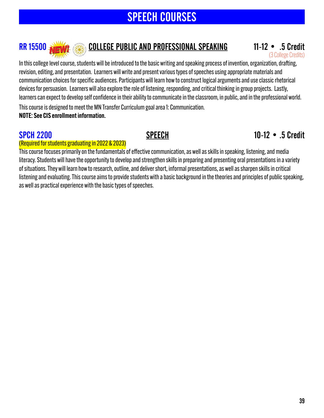# SPEECH COURSES

### RR 15500 **NEW EXECUTE PUBLIC AND PROFESSIONAL SPEAKING** 11-12 • .5 Credit

(3 College Credits)

In this college level course, students will be introduced to the basic writing and speaking process of invention, organization, drafting, revision, editing, and presentation. Learners will write and present various types of speeches using appropriate materials and communication choices for specific audiences. Participants will learn how to construct logical arguments and use classic rhetorical devices for persuasion. Learners will also explore the role of listening, responding, and critical thinking in group projects. Lastly, learners can expect to develop self confidence in their ability to communicate in the classroom, in public, and in the professional world.

This course is designed to meet the MN Transfer Curriculum goal area 1: Communication. NOTE: See CIS enrollment information.

### SPCH 2200 SPEECH 10-12 • .5 Credit

### (Required for students graduating in 2022 & 2023)

This course focuses primarily on the fundamentals of effective communication, as well as skills in speaking, listening, and media literacy. Students will have the opportunity to develop and strengthen skills in preparing and presenting oral presentations in a variety of situations. They will learn how to research, outline, and deliver short, informal presentations, as well as sharpen skills in critical listening and evaluating. This course aims to provide students with a basic background in the theories and principles of public speaking, as well as practical experience with the basic types of speeches.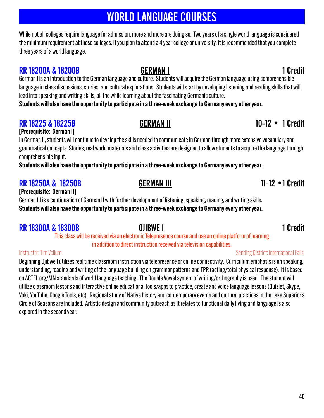# WORLD LANGUAGE COURSES

While not all colleges require language for admission, more and more are doing so. Two years of a single world language is considered the minimum requirement at these colleges. If you plan to attend a 4 year college or university, it is recommended that you complete three years of a world language.

### **RR 18200A & 18200B GERMAN I 1 Credit**

German I is an introduction to the German language and culture. Students will acquire the German language using comprehensible language in class discussions, stories, and cultural explorations. Students will start by developing listening and reading skills that will lead into speaking and writing skills, all the while learning about the fascinating Germanic culture.

Students will also have the opportunity to participate in a three-week exchange to Germany every other year.

### RR 18225 & 18225B GERMAN II 10-12 • 1 Credit

[Prerequisite: German I]

In German II, students will continue to develop the skills needed to communicate in German through more extensive vocabulary and grammatical concepts. Stories, real world materials and class activities are designed to allow students to acquire the language through comprehensible input.

Students will also have the opportunity to participate in a three-week exchange to Germany every other year.

### RR 18250A & 18250B GERMAN III 11-12 •1 Credit [Prerequisite: German II]

German III is a continuation of German II with further development of listening, speaking, reading, and writing skills. Students will also have the opportunity to participate in a three-week exchange to Germany every other year.

### **RR 18300A & 18300B OJIBWE I 1 Credit**

This class will be received via an electronic Telepresence course and use an online platform of learning in addition to direct instruction received via television capabilities.

### Instructor: Tim Vollum Sending District: International Falls

Beginning Ojibwe I utilizes real time classroom instruction via telepresence or online connectivity. Curriculum emphasis is on speaking, understanding, reading and writing of the language building on grammar patterns and TPR (acting/total physical response). It is based on ACTFL.org/MN standards of world language teaching. The Double Vowel system of writing/orthography is used. The student will utilize classroom lessons and interactive online educational tools/apps to practice, create and voice language lessons (Quizlet, Skype, Voki, YouTube, Google Tools, etc). Regional study of Native history and contemporary events and cultural practices in the Lake Superior's Circle of Seasons are included. Artistic design and community outreach as it relates to functional daily living and language is also explored in the second year.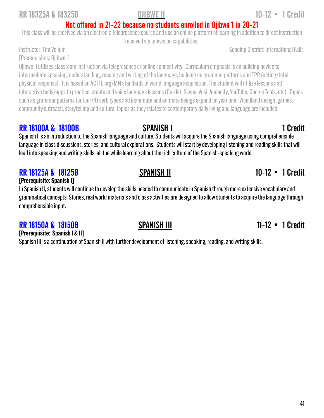### RR 18325A & 18325B OJIBWE II 10-12 • 1 Credit

Not offered in 21-22 because no students enrolled in Ojibwe 1 in 20-21 This class will be received via an electronic Telepresence course and use an online platform of learning in addition to direct instruction

received via television capabilities.

Instructor: Tim Vollum and Table 1986 and Table 1986 and Table 1988 and Sending District: International Falls

[Prerequisites: Ojibwe I]

Ojibwe II utilizes classroom instruction via telepresence or online connectivity. Curriculum emphasis is on building novice to intermediate speaking, understanding, reading and writing of the language; building on grammar patterns and TPR (acting/total physical response). It is based on ACTFL.org/MN standards of world language acquisition. The student will utilize lessons and interactive tools/apps to practice, create and voice language lessons (Quizlet, Skype, Voki, Audacity, YouTube, Google Tools, etc). Topics such as grammar patterns for four (4) verb types and inanimate and animate beings expand on year one. Woodland design, games, community outreach, storytelling and cultural topics as they relates to contemporary daily living and language are included.

### **RR 18100A & 18100B** SPANISH I 1 Credit

Spanish I is an introduction to the Spanish language and culture. Students will acquire the Spanish language using comprehensible language in class discussions, stories, and cultural explorations. Students will start by developing listening and reading skills that will lead into speaking and writing skills, all the while learning about the rich culture of the Spanish-speaking world.

### RR 18125A & 18125B SPANISH II 30 SPANISH II 10-12 • 1 Credit

### [Prerequisite: Spanish I]

In Spanish II, students will continue to develop the skills needed to communicate in Spanish through more extensive vocabulary and grammatical concepts. Stories, real world materials and class activities are designed to allow students to acquire the language through comprehensible input.

### RR 18150A & 18150B SPANISH III 11-12 • 1 Credit

[Prerequisite: Spanish I & II] Spanish III is a continuation of Spanish II with further development of listening, speaking, reading, and writing skills.

41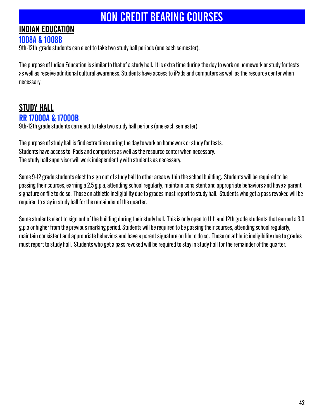# NON CREDIT BEARING COURSES

# INDIAN EDUCATION

### 1008A & 1008B

9th-12th grade students can elect to take two study hall periods (one each semester).

The purpose of Indian Education is similar to that of a study hall. It is extra time during the day to work on homework or study for tests as well as receive additional cultural awareness. Students have access to iPads and computers as well as the resource center when necessary.

### STUDY HALL RR 17000A & 17000B

9th-12th grade students can elect to take two study hall periods (one each semester).

The purpose of study hall is find extra time during the day to work on homework or study for tests. Students have access to iPads and computers as well as the resource center when necessary. The study hall supervisor will work independently with students as necessary.

Some 9-12 grade students elect to sign out of study hall to other areas within the school building. Students will be required to be passing their courses, earning a 2.5 g.p.a, attending school regularly, maintain consistent and appropriate behaviors and have a parent signature on file to do so. Those on athletic ineligibility due to grades must report to study hall. Students who get a pass revoked will be required to stay in study hall for the remainder of the quarter.

Some students elect to sign out of the building during their study hall. This is only open to 11th and 12th grade students that earned a 3.0 g.p.a or higher from the previous marking period. Students will be required to be passing their courses, attending school regularly, maintain consistent and appropriate behaviors and have a parent signature on file to do so. Those on athletic ineligibility due to grades must report to study hall. Students who get a pass revoked will be required to stay in study hall for the remainder of the quarter.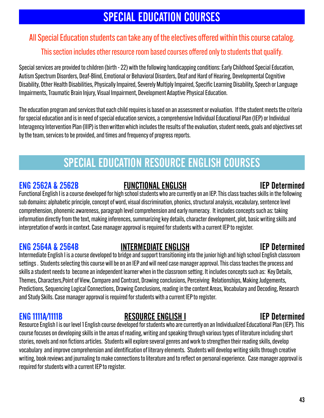# SPECIAL EDUCATION COURSES

### All Special Education students can take any of the electives offered within this course catalog.

### This section includes other resource room based courses offered only to students that qualify.

Special services are provided to children (birth - 22) with the following handicapping conditions: Early Childhood Special Education, Autism Spectrum Disorders, Deaf-Blind, Emotional or Behavioral Disorders, Deaf and Hard of Hearing, Developmental Cognitive Disability, Other Health Disabilities, Physically Impaired, Severely Multiply Impaired, Specific Learning Disability, Speech or Language Impairments, Traumatic Brain Injury, Visual Impairment, Development Adaptive Physical Education.

The education program and services that each child requires is based on an assessment or evaluation. If the student meets the criteria for special education and is in need of special education services, a comprehensive Individual Educational Plan (IEP) or Individual Interagency Intervention Plan (IIIP) is then written which includes the results of the evaluation, student needs, goals and objectives set by the team, services to be provided, and times and frequency of progress reports.

# SPECIAL EDUCATION RESOURCE ENGLISH COURSES

### ENG 2562A & 2562B FUNCTIONAL ENGLISH IEP Determined

Functional English I is a course developed for high school students who are currently on an IEP. This class teaches skills in the following sub domains: alphabetic principle, concept of word, visual discrimination, phonics, structural analysis, vocabulary, sentence level comprehension, phonemic awareness, paragraph level comprehension and early numeracy. It includes concepts such as: taking information directly from the text, making inferences, summarizing key details, character development, plot, basic writing skills and interpretation of words in context. Case manager approval is required for students with a current IEP to register.

### ENG 2564A & 2564B INTERMEDIATE ENGLISH IEP Determined

### Intermediate English I is a course developed to bridge and support transitioning into the junior high and high school English classroom settings . Students selecting this course will be on an IEP and will need case manager approval. This class teaches the process and skills a student needs to become an independent learner when in the classroom setting. It includes concepts such as: Key Details, Themes, Characters,Point of View, Compare and Contrast, Drawing conclusions, Perceiving Relationships, Making Judgements, Predictions, Sequencing Logical Connections, Drawing Conclusions, reading in the content Areas, Vocabulary and Decoding, Research and Study Skills. Case manager approval is required for students with a current IEP to register.

ENG 1111A/1111B RESOURCE ENGLISH I IEP Determined Resource English I is our level 1 English course developed for students who are currently on an Individualized Educational Plan (IEP). This course focuses on developing skills in the areas of reading, writing and speaking through various types of literature including short stories, novels and non fictions articles. Students will explore several genres and work to strengthen their reading skills, develop vocabulary and improve comprehension and identification of literary elements. Students will develop writing skills through creative writing, book reviews and journaling to make connections to literature and to reflect on personal experience. Case manager approval is required for students with a current IEP to register.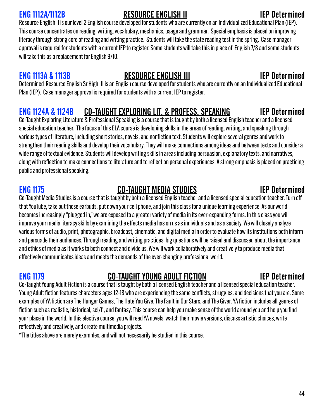### ENG 1112A/1112B RESOURCE ENGLISH II IEP Determined

Resource English II is our level 2 English course developed for students who are currently on an Individualized Educational Plan (IEP). This course concentrates on reading, writing, vocabulary, mechanics, usage and grammar. Special emphasis is placed on improving literacy through strong core of reading and writing practice. Students will take the state reading test in the spring. Case manager approval is required for students with a current IEP to register. Some students will take this in place of English 7/8 and some students will take this as a replacement for English 9/10.

### ENG 1113A & 1113B RESOURCE ENGLISH III IEP Determined

Determined Resource English Sr High III is an English course developed for students who are currently on an Individualized Educational Plan (IEP). Case manager approval is required for students with a current IEP to register.

### ENG 1124A & 1124B CO-TAUGHT EXPLORING LIT. & PROFESS. SPEAKING IEP Determined

Co-Taught Exploring Literature & Professional Speaking is a course that is taught by both a licensed English teacher and a licensed special education teacher. The focus of this ELA course is developing skills in the areas of reading, writing, and speaking through various types of literature, including short stories, novels, and nonfiction text. Students will explore several genres and work to strengthen their reading skills and develop their vocabulary. They will make connections among ideas and between texts and consider a wide range of textual evidence. Students will develop writing skills in areas including persuasion, explanatory texts, and narratives, along with reflection to make connections to literature and to reflect on personal experiences. A strong emphasis is placed on practicing public and professional speaking.

### ENG 1175 CO-TAUGHT MEDIA STUDIES IEP Determined

Co-Taught Media Studies is a course that is taught by both a licensed English teacher and a licensed special education teacher. Turn off that YouTube, take out those earbuds, put down your cell phone, and join this class for a unique learning experience. As our world becomes increasingly "plugged in," we are exposed to a greater variety of media in its ever-expanding forms. In this class you will improve your media literacy skills by examining the effects media has on us as individuals and as a society. We will closely analyze various forms of audio, print, photographic, broadcast, cinematic, and digital media in order to evaluate how its institutions both inform and persuade their audiences. Through reading and writing practices, big questions will be raised and discussed about the importance and ethics of media as it works to both connect and divide us. We will work collaboratively and creatively to produce media that effectively communicates ideas and meets the demands of the ever-changing professional world.

# ENG 1179 CO-TAUGHT YOUNG ADULT FICTION IEP Determined

Co-Taught Young Adult Fiction is a course that is taught by both a licensed English teacher and a licensed special education teacher. Young Adult fiction features characters ages 12-18 who are experiencing the same conflicts, struggles, and decisions that you are. Some examples of YA fiction are The Hunger Games, The Hate You Give, The Fault in Our Stars, and The Giver. YA fiction includes all genres of fiction such as realistic, historical, sci/fi, and fantasy. This course can help you make sense of the world around you and help you find your place in the world. In this elective course, you will read YA novels, watch their movie versions, discuss artistic choices, write reflectively and creatively, and create multimedia projects.

\*The titles above are merely examples, and will not necessarily be studied in this course.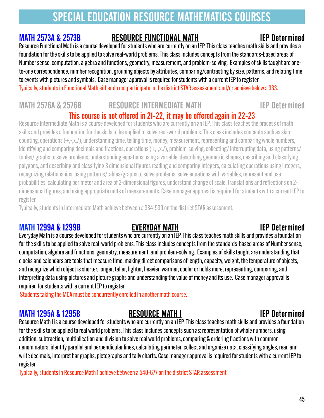# SPECIAL EDUCATION RESOURCE MATHEMATICS COURSES

### MATH 2573A & 2573B RESOURCE FUNCTIONAL MATH

Resource Functional Math is a course developed for students who are currently on an IEP. This class teaches math skills and provides a foundation for the skills to be applied to solve real-world problems. This class includes concepts from the standards-based areas of Number sense, computation, algebra and functions, geometry, measurement, and problem-solving. Examples of skills taught are oneto-one correspondence, number recognition, grouping objects by attributes, comparing/contrasting by size, patterns, and relating time to events with pictures and symbols. Case manager approval is required for students with a current IEP to register. Typically, students in Functional Math either do not participate in the district STAR assessment and/or achieve below a 333.

### MATH 2576A & 2576B RESOURCE INTERMEDIATE MATH **IEP Determined** This course is not offered in 21-22, it may be offered again in 22-23

Resource Intermediate Math is a course developed for students who are currently on an IEP. This class teaches the process of math skills and provides a foundation for the skills to be applied to solve real-world problems. This class includes concepts such asskip counting, operations (+,-,x,/), understanding time, telling time, money, measurement, representing and comparing whole numbers, identifying and comparing decimals and fractions, operations (+,-,x,/), problem-solving, collecting/ interrupting data, using patterns/ tables/ graphs to solve problems, understanding equations using a variable, describing geometric shapes, describing and classifying polygons, and describing and classifying 3 dimensional figures reading and comparing integers, calculating operations using integers, recognizing relationships, using patterns/tables/graphs to solve problems, solve equations with variables, represent and use probabilities, calculating perimeter and area of 2-dimensional figures, understand change of scale, translations and reflections on 2 dimensional figures, and using appropriate units of measurements. Case manager approval is required for students with a current IEP to register.

Typically, students in Intermediate Math achieve between a 334-539 on the district STAR assessment.

### MATH 1299A & 1299B EVERYDAY MATH IEP Determined

Everyday Mathis a course developed for students who are currently on an IEP. This class teaches math skills and provides a foundation for the skills to be applied to solve real-world problems. This class includes concepts from the standards-based areas of Number sense, computation, algebra and functions, geometry, measurement, and problem-solving. Examples of skills taught are understanding that clocks and calendars are tools that measure time, making direct comparisons of length, capacity, weight, the temperature of objects, and recognize which object is shorter, longer, taller, lighter, heavier, warmer, cooler or holds more, representing, comparing, and interpreting data using pictures and picture graphs and understanding the value of money and its use. Case manager approval is required for students with a current IEP to register.

Students taking the MCA must be concurrently enrolled in another math course.

### MATH 1295A & 1295B RESOURCE MATH I GEALL AND RESOURCE MATH I

Resource Math I is a course developed for students who are currently on an IEP. This class teaches math skills and provides a foundation for the skills to be applied to real world problems. This class includes concepts such as: representation of whole numbers, using addition, subtraction, multiplication and division to solve real world problems, comparing & ordering fractions with common denominators, identify parallel and perpendicular lines, calculating perimeter, collect and organize data, classifying angles, read and write decimals, interpret bar graphs, pictographs and tally charts. Case manager approval is required for students with a current IEP to register.

Typically, students in Resource Math 1 achieve between a 540-677 on the district STAR assessment.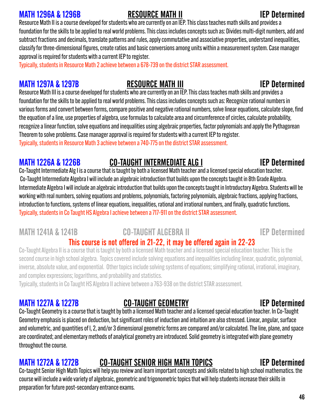### MATH 1296A & 1296B RESOURCE MATH II IEP Determined

Resource Math II is a course developed for students who are currently on an IEP. This class teaches math skills and provides a foundation for the skills to be applied to real world problems. This class includes concepts such as: Divides multi-digit numbers, add and subtract fractions and decimals, translate patterns and rules, apply commutative and associative properties, understand inequalities, classify for three-dimensional figures, create ratios and basic conversions among units within a measurement system. Case manager approval is required for students with a current IEP to register.

Typically, students in Resource Math 2 achieve between a 678-739 on the district STAR assessment.

### MATH 1297A & 1297B **RESOURCE MATH III** THE RESOURCE MATH III

Resource Math III is a course developed for students who are currently on an IEP. This class teaches math skills and provides a foundation for the skills to be applied to real world problems. This class includes concepts such as: Recognize rational numbers in various forms and convert between forms, compare positive and negative rational numbers, solve linear equations, calculate slope, find the equation of a line, use properties of algebra, use formulas to calculate area and circumference of circles, calculate probability, recognize a linear function, solve equations and inequalities using algebraic properties, factor polynomials and apply the Pythagorean Theorem to solve problems. Case manager approval is required for students with a current IEP to register. Typically, students in Resource Math 3 achieve between a 740-775 on the district STAR assessment.

### MATH 1226A & 1226B CO-TAUGHT INTERMEDIATE ALG I

Co-Taught Intermediate Alg I is a course that is taught by both a licensed Math teacher and a licensed special education teacher. Co-Taught Intermediate Algebra I will include an algebraic introduction that builds upon the concepts taught in 8th Grade Algebra. Intermediate Algebra I will include an algebraic introduction that builds upon the concepts taught in Introductory Algebra. Students will be working with real numbers, solving equations and problems, polynomials, factoring polynomials, algebraic fractions, applying fractions, introduction to functions, systems of linear equations, inequalities, rational and irrational numbers, and finally, quadratic functions. Typically, students in Co Taught HS Algebra I achieve between a 717-911 on the district STAR assessment.

### MATH 1241A & 1241B **CO-TAUGHT ALGEBRA II IEP Determined**

### This course is not offered in 21-22, it may be offered again in 22-23

Co-Taught Algebra II is a course that is taught by both a licensed Math teacher and a licensed special education teacher. This is the second course in high school algebra. Topics covered include solving equations and inequalities including linear, quadratic, polynomial, inverse, absolute value, and exponential. Other topics include solving systems of equations; simplifying rational, irrational, imaginary, and complex expressions; logarithms, and probability and statistics.

Typically, students in Co Taught HS Algebra II achieve between a 763-938 on the district STAR assessment.

### MATH 1227A & 1227B **CO-TAUGHT GEOMETRY IEP Determined**

### Co-Taught Geometry is a course that is taught by both a licensed Math teacher and a licensed special education teacher. In Co-Taught Geometry emphasis is placed on deduction, but significant roles of induction and intuition are also stressed. Linear, angular, surface and volumetric, and quantities of l, 2, and/or 3 dimensional geometric forms are compared and/or calculated. The line, plane, and space are coordinated; and elementary methods of analytical geometry are introduced. Solid geometry is integrated with plane geometry throughout the course.

### MATH 1272A & 1272B CO-TAUGHT SENIOR HIGH MATH TOPICS IEP Determined

Co-taught Senior High Math Topics will help you review and learn important concepts and skills related to high school mathematics. the course will include a wide variety of algebraic, geometric and trigonometric topics that will help students increase their skills in preparation for future post-secondary entrance exams.

### 46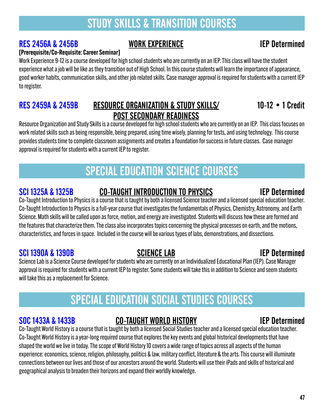# STUDY SKILLS & TRANSITION COURSES

### RES 2456A & 2456B WORK EXPERIENCE IEP Determined

### [Prerequisite/Co-Requisite: Career Seminar]

Work Experience 9-12 is a course developed for high school students who are currently on an IEP. This class will have the student experience what a job will be like as they transition out of High School. In this course students will learn the importance of appearance, good worker habits, communication skills, and other job related skills. Case manager approval is required for students with a current IEP to register.

### RES 2459A & 2459B RESOURCE ORGANIZATION & STUDY SKILLS/ 10-12 . 1 Credit POST SECONDARY READINESS

Resource Organization and Study Skills is a course developed for high school students who are currently on an IEP. This class focuses on work related skills such as being responsible, being prepared, using time wisely, planning for tests, and using technology. This course provides students time to complete classroom assignments and creates a foundation for success in future classes. Case manager approval is required for students with a current IEP to register.

# SPECIAL EDUCATION SCIENCE COURSES

### SCI 1325A & 1325B CO-TAUGHT INTRODUCTION TO PHYSICS IEP Determined

Co-Taught Introduction to Physics is a course that is taught by both a licensed Science teacher and a licensed special education teacher. Co-Taught Introduction to Physics is a full-year course that investigates the fundamentals of Physics, Chemistry, Astronomy, and Earth Science. Math skills will be called upon as force, motion, and energy are investigated. Students will discuss how these are formed and the features that characterize them. The class also incorporates topics concerning the physical processes on earth, and the motions, characteristics, and forces in space. Included in the course will be various types of labs, demonstrations, and dissections.

### SCI 1390A & 1390B SCIENCE LAB IEP Determined

Science Lab is a Science Course developed for students who are currently on an Individualized Educational Plan (IEP). Case Manager approval is required for students with a current IEP to register. Some students will take this in addition to Science and seem students will take this as a replacement for Science.

# SPECIAL EDUCATION SOCIAL STUDIES COURSES

### SOC 1433A & 1433B CO-TAUGHT WORLD HISTORY IEP Determined

Co-Taught World History is a course that is taught by both a licensed Social Studies teacher and a licensed special education teacher. Co-Taught World History is a year-long required course that explores the key events and global historical developments that have shaped the world we live in today. The scope of World History 10 covers a wide range of topics across all aspects of the human experience: economics, science, religion, philosophy, politics & law, military conflict, literature & the arts. This course will illuminate connections between our lives and those of our ancestors around the world. Students will use their iPads and skills of historical and geographical analysis to broaden their horizons and expand their worldly knowledge.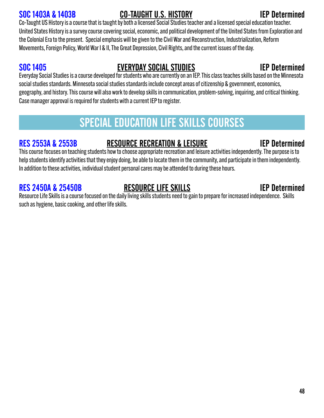### SOC 1403A & 1403B CO-TAUGHT U.S. HISTORY IEP Determined

Co-Taught US History is a course that is taught by both a licensed Social Studies teacher and a licensed special education teacher. United States History is a survey course covering social, economic, and political development of the United States from Exploration and the Colonial Era to the present. Special emphasis will be given to the Civil War and Reconstruction, Industrialization, Reform Movements, Foreign Policy, World War I & II, The Great Depression, Civil Rights, and the current issues of the day.

### SOC 1405 EVERYDAY SOCIAL STUDIES IEP Determined

Everyday Social Studies is a course developed for students who are currently on an IEP. This class teaches skills based on the Minnesota social studies standards. Minnesota social studies standards include concept areas of citizenship & government, economics, geography, and history. This course will also work to develop skills in communication, problem-solving, inquiring, and critical thinking. Case manager approval is required for students with a current IEP to register.

# SPECIAL EDUCATION LIFE SKILLS COURSES

### RES 2553A & 2553B RESOURCE RECREATION & LEISURE IEP Determined

This course focuses on teaching students how to choose appropriate recreation and leisure activities independently. The purpose is to help students identify activities that they enjoy doing, be able to locate them in the community, and participate in them independently. In addition to these activities, individual student personal cares may be attended to during these hours.

### RES 2450A & 25450B RESOURCE LIFE SKILLS **RESOURE ARESOURE EXAMPLE PERMIT**

Resource Life Skills is a course focused on the daily living skills students need to gain to prepare for increased independence. Skills such as hygiene, basic cooking, and other life skills.

### <u>and the second second second second second second second second second second second second second second second second second second second second second second second second second second second second second second sec</u>